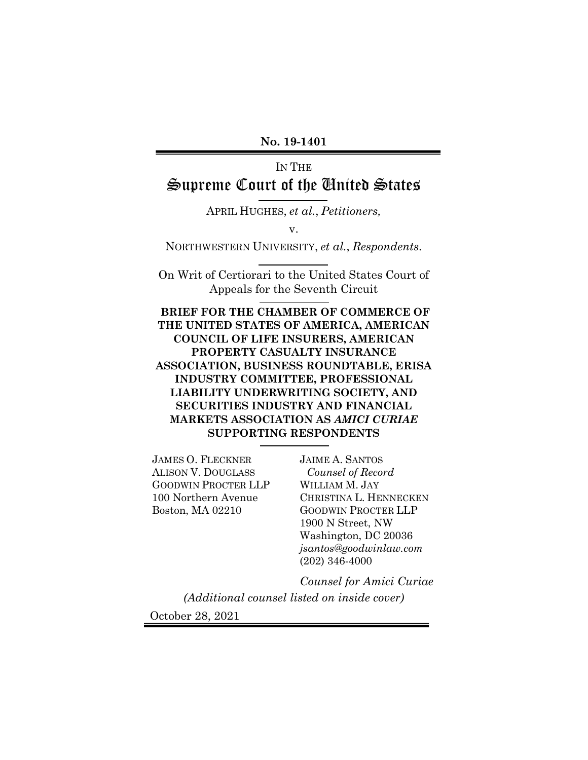#### **No. 19-1401**

# IN THE Supreme Court of the United States

APRIL HUGHES, *et al.*, *Petitioners,*

v.

NORTHWESTERN UNIVERSITY, *et al.*, *Respondents*.

On Writ of Certiorari to the United States Court of Appeals for the Seventh Circuit

**BRIEF FOR THE CHAMBER OF COMMERCE OF THE UNITED STATES OF AMERICA, AMERICAN COUNCIL OF LIFE INSURERS, AMERICAN PROPERTY CASUALTY INSURANCE ASSOCIATION, BUSINESS ROUNDTABLE, ERISA INDUSTRY COMMITTEE, PROFESSIONAL LIABILITY UNDERWRITING SOCIETY, AND SECURITIES INDUSTRY AND FINANCIAL MARKETS ASSOCIATION AS** *AMICI CURIAE*  **SUPPORTING RESPONDENTS**

JAMES O. FLECKNER ALISON V. DOUGLASS GOODWIN PROCTER LLP 100 Northern Avenue Boston, MA 02210

JAIME A. SANTOS *Counsel of Record* WILLIAM M. JAY CHRISTINA L. HENNECKEN GOODWIN PROCTER LLP 1900 N Street, NW Washington, DC 20036 *jsantos@goodwinlaw.com* (202) 346-4000

*Counsel for Amici Curiae*

*(Additional counsel listed on inside cover)* October 28, 2021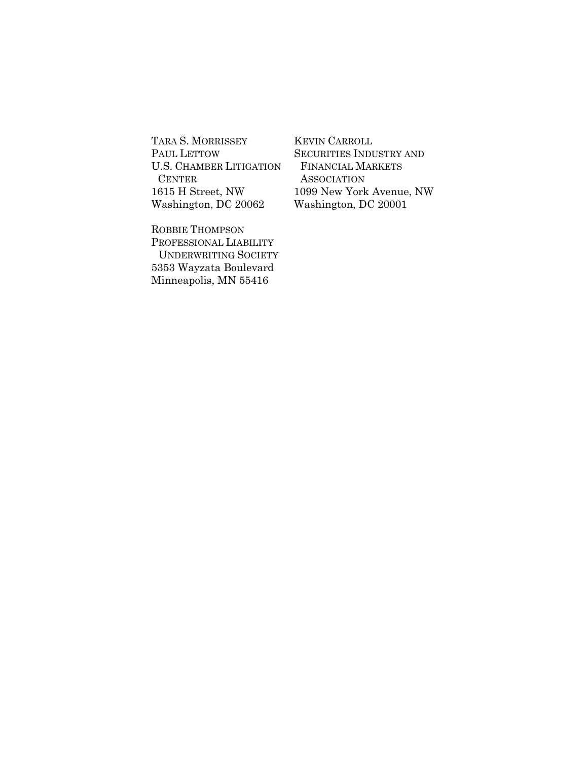TARA S. MORRISSEY PAUL LETTOW U.S. CHAMBER LITIGATION CENTER 1615 H Street, NW Washington, DC 20062

ROBBIE THOMPSON PROFESSIONAL LIABILITY UNDERWRITING SOCIETY 5353 Wayzata Boulevard Minneapolis, MN 55416

KEVIN CARROLL SECURITIES INDUSTRY AND FINANCIAL MARKETS **ASSOCIATION** 1099 New York Avenue, NW Washington, DC 20001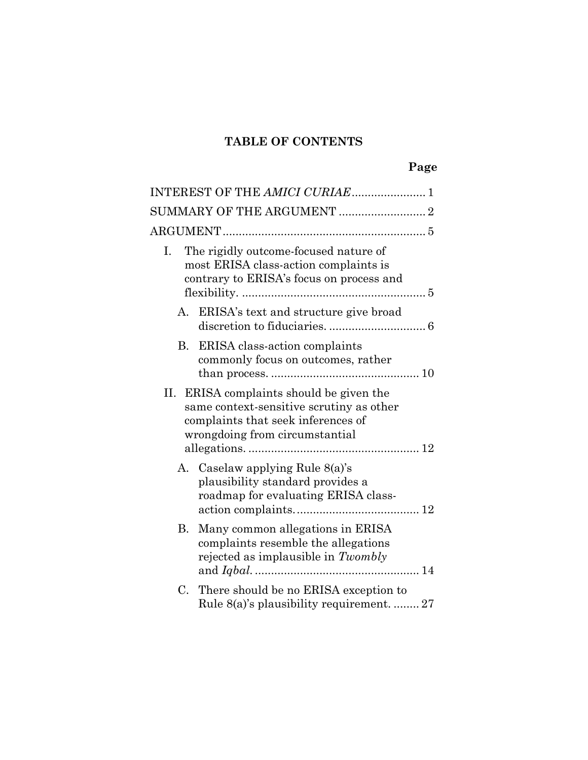# **TABLE OF CONTENTS**

|    | INTEREST OF THE AMICI CURIAE 1                                                                                                                               |  |  |
|----|--------------------------------------------------------------------------------------------------------------------------------------------------------------|--|--|
|    |                                                                                                                                                              |  |  |
|    |                                                                                                                                                              |  |  |
| Ι. | The rigidly outcome-focused nature of<br>most ERISA class-action complaints is<br>contrary to ERISA's focus on process and                                   |  |  |
| А. | ERISA's text and structure give broad                                                                                                                        |  |  |
|    | B. ERISA class-action complaints<br>commonly focus on outcomes, rather                                                                                       |  |  |
|    | II. ERISA complaints should be given the<br>same context-sensitive scrutiny as other<br>complaints that seek inferences of<br>wrongdoing from circumstantial |  |  |
|    | A. Caselaw applying Rule 8(a)'s<br>plausibility standard provides a<br>roadmap for evaluating ERISA class-                                                   |  |  |
| В. | Many common allegations in ERISA<br>complaints resemble the allegations<br>rejected as implausible in Twombly                                                |  |  |
| С. | There should be no ERISA exception to<br>Rule 8(a)'s plausibility requirement.  27                                                                           |  |  |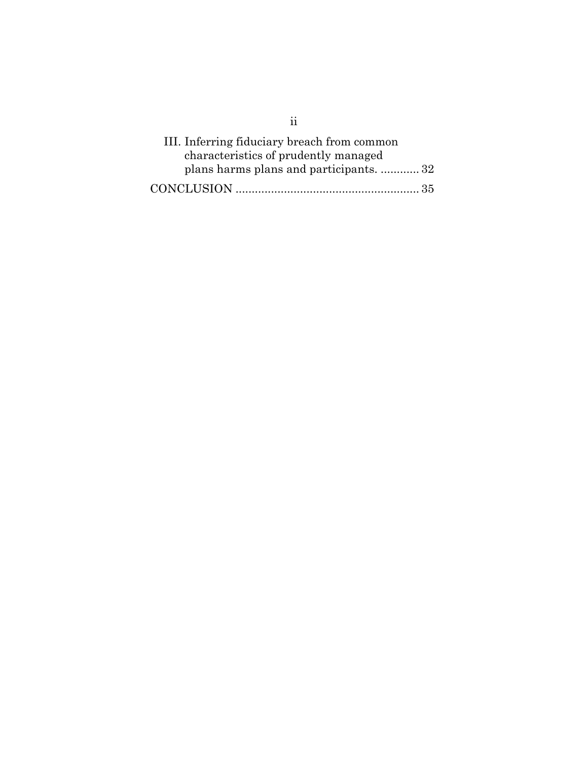| III. Inferring fiduciary breach from common |
|---------------------------------------------|
| characteristics of prudently managed        |
| plans harms plans and participants.  32     |
|                                             |

ii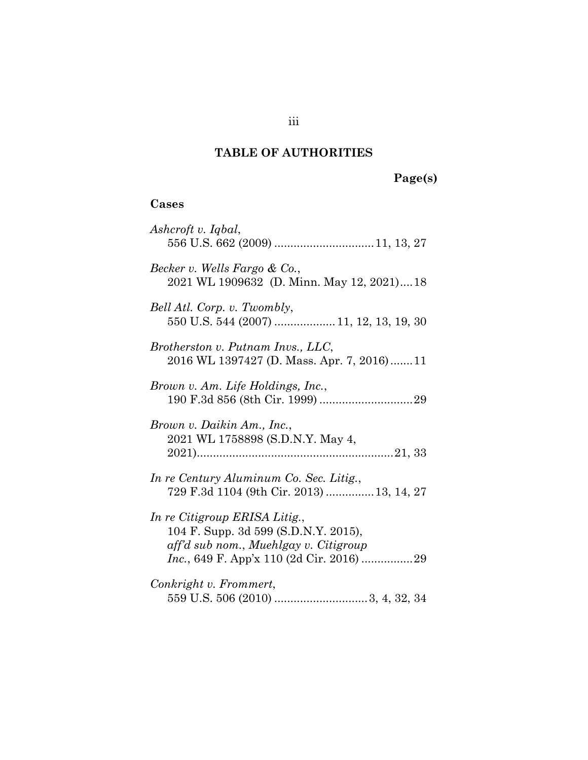# **TABLE OF AUTHORITIES**

# **Page(s)**

# **Cases**

| Ashcroft v. Iqbal,                                                                                             |
|----------------------------------------------------------------------------------------------------------------|
| Becker v. Wells Fargo & Co.,<br>2021 WL 1909632 (D. Minn. May 12, 2021)18                                      |
| Bell Atl. Corp. v. Twombly,<br>550 U.S. 544 (2007)  11, 12, 13, 19, 30                                         |
| Brotherston v. Putnam Invs., LLC,<br>2016 WL 1397427 (D. Mass. Apr. 7, 2016)11                                 |
| Brown v. Am. Life Holdings, Inc.,                                                                              |
| Brown v. Daikin Am., Inc.,<br>2021 WL 1758898 (S.D.N.Y. May 4,                                                 |
| In re Century Aluminum Co. Sec. Litig.,<br>729 F.3d 1104 (9th Cir. 2013)  13, 14, 27                           |
| In re Citigroup ERISA Litig.,<br>104 F. Supp. 3d 599 (S.D.N.Y. 2015),<br>aff'd sub nom., Muehlgay v. Citigroup |
| Conkright v. Frommert,                                                                                         |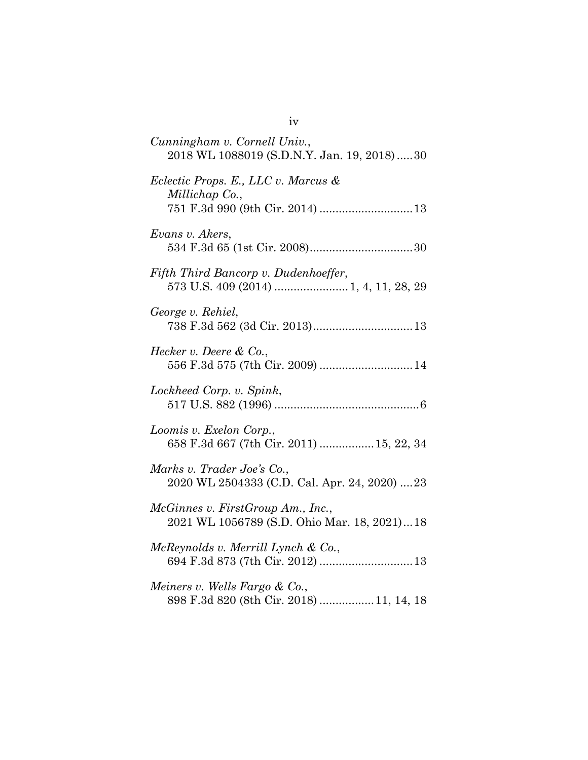| Cunningham v. Cornell Univ.,<br>2018 WL 1088019 (S.D.N.Y. Jan. 19, 2018)30       |
|----------------------------------------------------------------------------------|
| Eclectic Props. E., LLC v. Marcus &<br>Millichap Co.,                            |
| Evans v. Akers,                                                                  |
| Fifth Third Bancorp v. Dudenhoeffer,                                             |
| George v. Rehiel,<br>738 F.3d 562 (3d Cir. 2013) 13                              |
| Hecker v. Deere $\&mathbb{C}^0$ .<br>556 F.3d 575 (7th Cir. 2009)  14            |
| Lockheed Corp. v. Spink,                                                         |
| Loomis v. Exelon Corp.,<br>658 F.3d 667 (7th Cir. 2011)  15, 22, 34              |
| Marks v. Trader Joe's Co.,<br>2020 WL 2504333 (C.D. Cal. Apr. 24, 2020) 23       |
| McGinnes v. FirstGroup Am., Inc.,<br>2021 WL 1056789 (S.D. Ohio Mar. 18, 2021)18 |
| McReynolds v. Merrill Lynch & Co.,<br>694 F.3d 873 (7th Cir. 2012)  13           |
| Meiners v. Wells Fargo & Co.,<br>898 F.3d 820 (8th Cir. 2018) 11, 14, 18         |

iv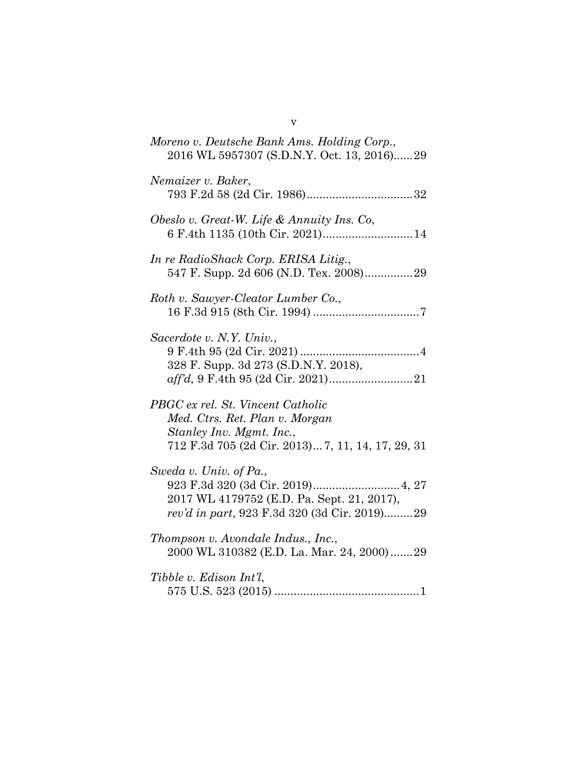| Moreno v. Deutsche Bank Ams. Holding Corp.,<br>2016 WL 5957307 (S.D.N.Y. Oct. 13, 2016)29                                                            |
|------------------------------------------------------------------------------------------------------------------------------------------------------|
| Nemaizer v. Baker,                                                                                                                                   |
| Obeslo v. Great-W. Life & Annuity Ins. Co,<br>6 F.4th 1135 (10th Cir. 2021) 14                                                                       |
| In re RadioShack Corp. ERISA Litig.,                                                                                                                 |
| Roth v. Sawyer-Cleator Lumber Co.,                                                                                                                   |
| Sacerdote v. N.Y. Univ.,<br>328 F. Supp. 3d 273 (S.D.N.Y. 2018),                                                                                     |
| PBGC ex rel. St. Vincent Catholic<br>Med. Ctrs. Ret. Plan v. Morgan<br>Stanley Inv. Mgmt. Inc.,<br>712 F.3d 705 (2d Cir. 2013) 7, 11, 14, 17, 29, 31 |
| Sweda v. Univ. of Pa.,<br>2017 WL 4179752 (E.D. Pa. Sept. 21, 2017),<br>rev'd in part, 923 F.3d 320 (3d Cir. 2019)29                                 |
| Thompson v. Avondale Indus., Inc.,<br>2000 WL 310382 (E.D. La. Mar. 24, 2000)29                                                                      |
| Tibble v. Edison Int'l,                                                                                                                              |

v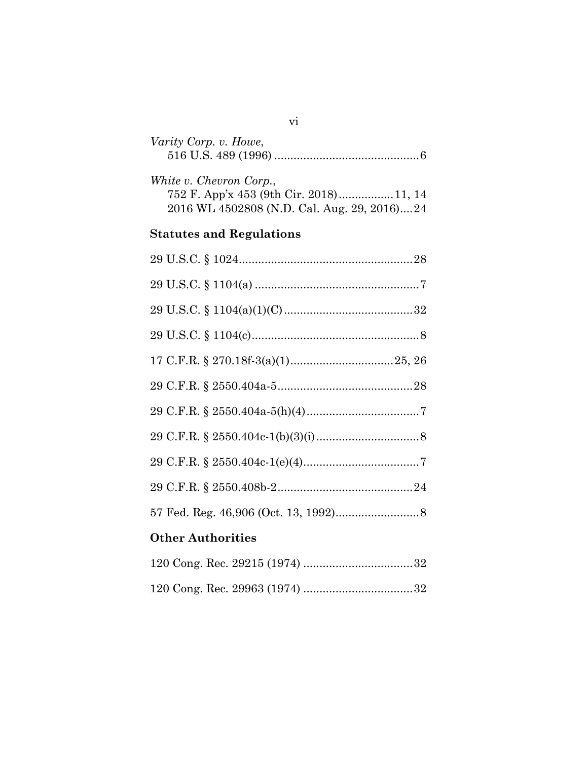| Varity Corp. v. Howe,                                                                                            |
|------------------------------------------------------------------------------------------------------------------|
| White v. Chevron Corp.,<br>752 F. App'x 453 (9th Cir. 2018)11, 14<br>2016 WL 4502808 (N.D. Cal. Aug. 29, 2016)24 |
| <b>Statutes and Regulations</b>                                                                                  |
|                                                                                                                  |
|                                                                                                                  |
|                                                                                                                  |
|                                                                                                                  |
|                                                                                                                  |
|                                                                                                                  |
|                                                                                                                  |
|                                                                                                                  |
|                                                                                                                  |
|                                                                                                                  |
|                                                                                                                  |
| <b>Other Authorities</b>                                                                                         |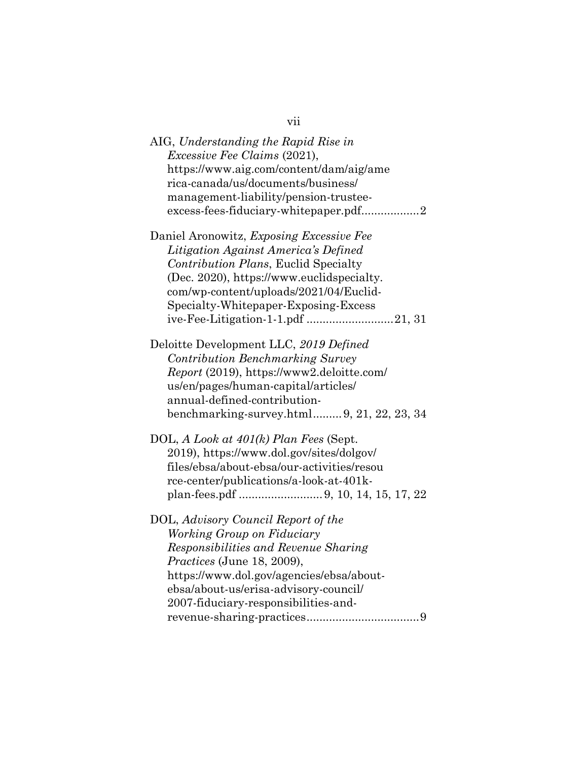| vii                                                                                                                                                                                                                                                                  |
|----------------------------------------------------------------------------------------------------------------------------------------------------------------------------------------------------------------------------------------------------------------------|
| AIG, Understanding the Rapid Rise in<br><i>Excessive Fee Claims (2021),</i><br>https://www.aig.com/content/dam/aig/ame<br>rica-canada/us/documents/business/<br>management-liability/pension-trustee-<br>excess-fees-fiduciary-whitepaper.pdf2                       |
| Daniel Aronowitz, Exposing Excessive Fee<br>Litigation Against America's Defined<br>Contribution Plans, Euclid Specialty<br>(Dec. 2020), https://www.euclidspecialty.<br>com/wp-content/uploads/2021/04/Euclid-<br>Specialty-Whitepaper-Exposing-Excess              |
| Deloitte Development LLC, 2019 Defined<br><b>Contribution Benchmarking Survey</b><br>Report (2019), https://www2.deloitte.com/<br>us/en/pages/human-capital/articles/<br>annual-defined-contribution-<br>benchmarking-survey.html 9, 21, 22, 23, 34                  |
| DOL, A Look at $401(k)$ Plan Fees (Sept.<br>2019), https://www.dol.gov/sites/dolgov/<br>files/ebsa/about-ebsa/our-activities/resou<br>rce-center/publications/a-look-at-401k-                                                                                        |
| DOL, Advisory Council Report of the<br>Working Group on Fiduciary<br>Responsibilities and Revenue Sharing<br>Practices (June 18, 2009),<br>https://www.dol.gov/agencies/ebsa/about-<br>ebsa/about-us/erisa-advisory-council/<br>2007-fiduciary-responsibilities-and- |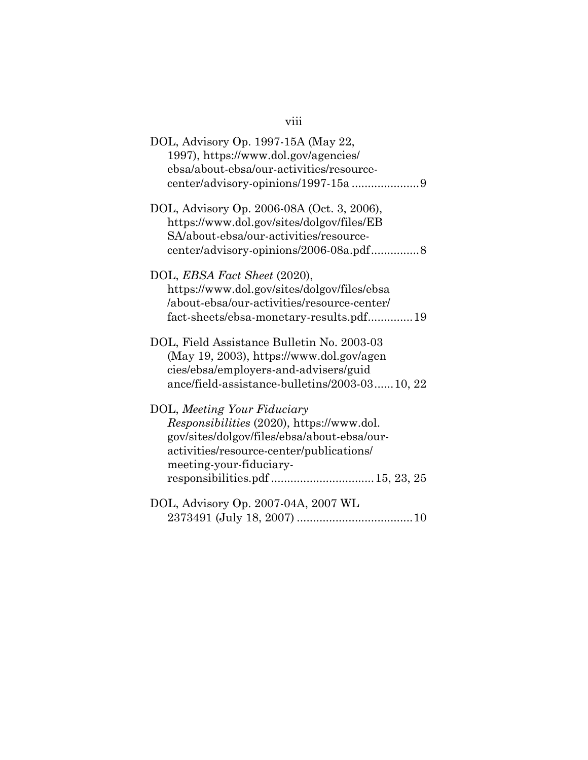| DOL, Advisory Op. 1997-15A (May 22,<br>1997), https://www.dol.gov/agencies/<br>ebsa/about-ebsa/our-activities/resource-                                                                        |
|------------------------------------------------------------------------------------------------------------------------------------------------------------------------------------------------|
| DOL, Advisory Op. 2006-08A (Oct. 3, 2006),<br>https://www.dol.gov/sites/dolgov/files/EB<br>SA/about-ebsa/our-activities/resource-<br>center/advisory-opinions/2006-08a.pdf8                    |
| DOL, EBSA Fact Sheet (2020),<br>https://www.dol.gov/sites/dolgov/files/ebsa<br>/about-ebsa/our-activities/resource-center/<br>fact-sheets/ebsa-monetary-results.pdf19                          |
| DOL, Field Assistance Bulletin No. 2003-03<br>(May 19, 2003), https://www.dol.gov/agen<br>cies/ebsa/employers-and-advisers/guid<br>ance/field-assistance-bulletins/2003-0310, 22               |
| DOL, Meeting Your Fiduciary<br>Responsibilities (2020), https://www.dol.<br>gov/sites/dolgov/files/ebsa/about-ebsa/our-<br>activities/resource-center/publications/<br>meeting-your-fiduciary- |
| DOL, Advisory Op. 2007-04A, 2007 WL                                                                                                                                                            |

## viii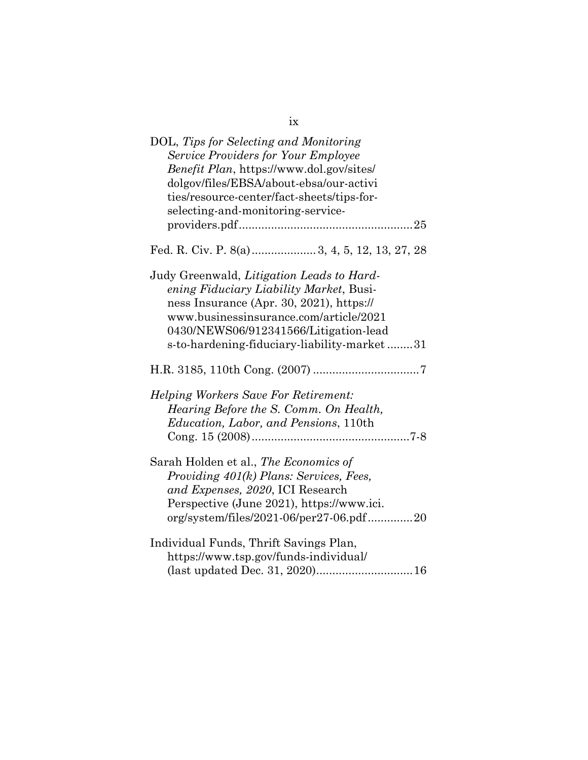| DOL, Tips for Selecting and Monitoring<br><b>Service Providers for Your Employee</b><br>Benefit Plan, https://www.dol.gov/sites/<br>dolgov/files/EBSA/about-ebsa/our-activi<br>ties/resource-center/fact-sheets/tips-for-<br>selecting-and-monitoring-service-     |
|--------------------------------------------------------------------------------------------------------------------------------------------------------------------------------------------------------------------------------------------------------------------|
|                                                                                                                                                                                                                                                                    |
| Fed. R. Civ. P. 8(a) 3, 4, 5, 12, 13, 27, 28                                                                                                                                                                                                                       |
| Judy Greenwald, Litigation Leads to Hard-<br>ening Fiduciary Liability Market, Busi-<br>ness Insurance (Apr. 30, 2021), https://<br>www.businessinsurance.com/article/2021<br>0430/NEWS06/912341566/Litigation-lead<br>s-to-hardening-fiduciary-liability-market31 |
|                                                                                                                                                                                                                                                                    |
| <i>Helping Workers Save For Retirement:</i><br>Hearing Before the S. Comm. On Health,<br><i>Education, Labor, and Pensions, 110th</i>                                                                                                                              |
| Sarah Holden et al., The Economics of<br>Providing 401(k) Plans: Services, Fees,<br>and Expenses, 2020, ICI Research<br>Perspective (June 2021), https://www.ici.<br>org/system/files/2021-06/per27-06.pdf20                                                       |
| Individual Funds, Thrift Savings Plan,<br>https://www.tsp.gov/funds-individual/<br>(last updated Dec. 31, 2020) 16                                                                                                                                                 |

| ł |         |
|---|---------|
|   | ۰,<br>I |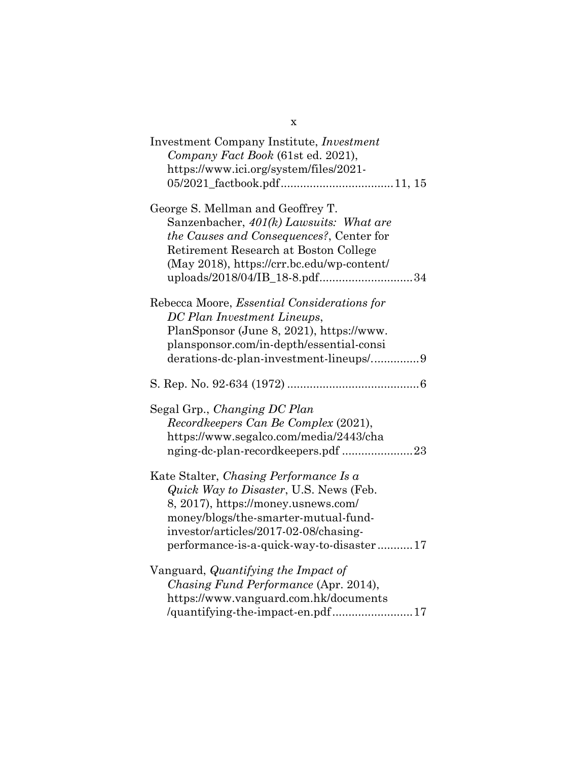| Investment Company Institute, <i>Investment</i><br>Company Fact Book (61st ed. 2021),<br>https://www.ici.org/system/files/2021-                                                                                                                      |
|------------------------------------------------------------------------------------------------------------------------------------------------------------------------------------------------------------------------------------------------------|
| George S. Mellman and Geoffrey T.<br>Sanzenbacher, 401(k) Lawsuits: What are<br>the Causes and Consequences?, Center for<br>Retirement Research at Boston College<br>(May 2018), https://crr.bc.edu/wp-content/<br>uploads/2018/04/IB_18-8.pdf34     |
| Rebecca Moore, Essential Considerations for<br>DC Plan Investment Lineups,<br>PlanSponsor (June 8, 2021), https://www.<br>plansponsor.com/in-depth/essential-consi<br>derations-dc-plan-investment-lineups/9                                         |
|                                                                                                                                                                                                                                                      |
| Segal Grp., Changing DC Plan<br>Recordkeepers Can Be Complex (2021),<br>https://www.segalco.com/media/2443/cha<br>nging-dc-plan-recordkeepers.pdf 23                                                                                                 |
| Kate Stalter, Chasing Performance Is a<br>Quick Way to Disaster, U.S. News (Feb.<br>8, 2017), https://money.usnews.com/<br>money/blogs/the-smarter-mutual-fund-<br>investor/articles/2017-02-08/chasing-<br>performance-is-a-quick-way-to-disaster17 |
| Vanguard, Quantifying the Impact of<br>Chasing Fund Performance (Apr. 2014),<br>https://www.vanguard.com.hk/documents<br>/quantifying-the-impact-en.pdf17                                                                                            |

x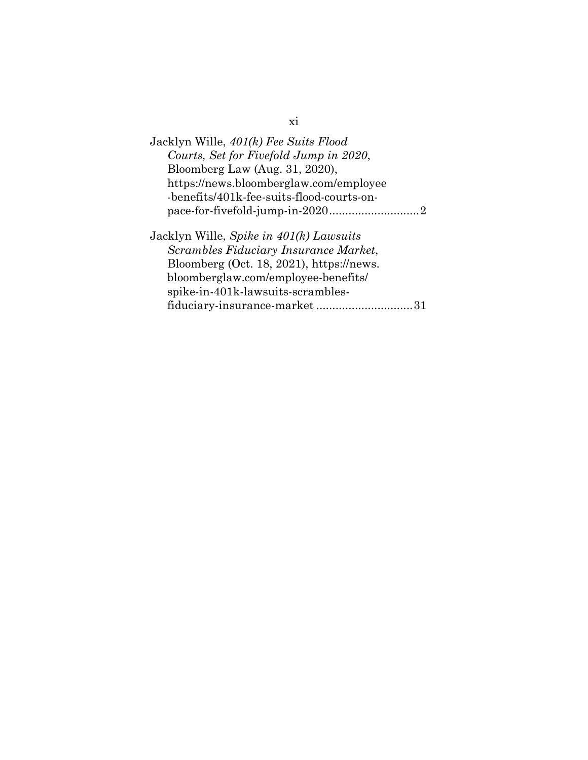| Jacklyn Wille, 401(k) Fee Suits Flood<br>Courts, Set for Fivefold Jump in 2020,<br>Bloomberg Law (Aug. 31, 2020), |
|-------------------------------------------------------------------------------------------------------------------|
| https://news.bloomberglaw.com/employee                                                                            |
| -benefits/401k-fee-suits-flood-courts-on-                                                                         |
|                                                                                                                   |
| Jacklyn Wille, Spike in 401(k) Lawsuits                                                                           |
| Scrambles Fiduciary Insurance Market,                                                                             |
| Bloomberg (Oct. 18, 2021), https://news.                                                                          |
| bloomberglaw.com/employee-benefits/                                                                               |
| spike-in-401k-lawsuits-scrambles-                                                                                 |
| fiduciary-insurance-market31                                                                                      |

xi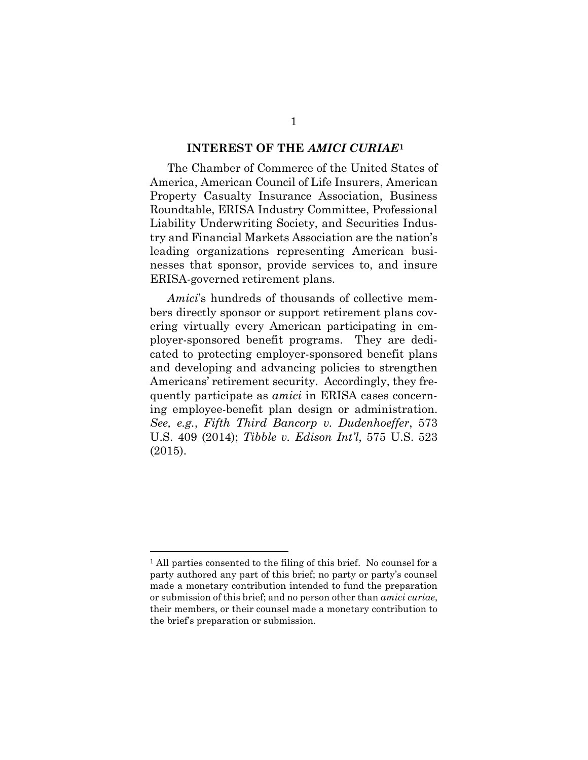#### **INTEREST OF THE** *AMICI CURIAE***[1](#page-13-3)**

<span id="page-13-0"></span>The Chamber of Commerce of the United States of America, American Council of Life Insurers, American Property Casualty Insurance Association, Business Roundtable, ERISA Industry Committee, Professional Liability Underwriting Society, and Securities Industry and Financial Markets Association are the nation's leading organizations representing American businesses that sponsor, provide services to, and insure ERISA-governed retirement plans.

<span id="page-13-1"></span>*Amici*'s hundreds of thousands of collective members directly sponsor or support retirement plans covering virtually every American participating in employer-sponsored benefit programs. They are dedicated to protecting employer-sponsored benefit plans and developing and advancing policies to strengthen Americans' retirement security. Accordingly, they frequently participate as *amici* in ERISA cases concerning employee-benefit plan design or administration. *See, e.g.*, *Fifth Third Bancorp v. Dudenhoeffer*, 573 U.S. 409 (2014); *Tibble v. Edison Int'l*, 575 U.S. 523 (2015).

<span id="page-13-3"></span><span id="page-13-2"></span><sup>&</sup>lt;sup>1</sup> All parties consented to the filing of this brief. No counsel for a party authored any part of this brief; no party or party's counsel made a monetary contribution intended to fund the preparation or submission of this brief; and no person other than *amici curiae*, their members, or their counsel made a monetary contribution to the brief's preparation or submission.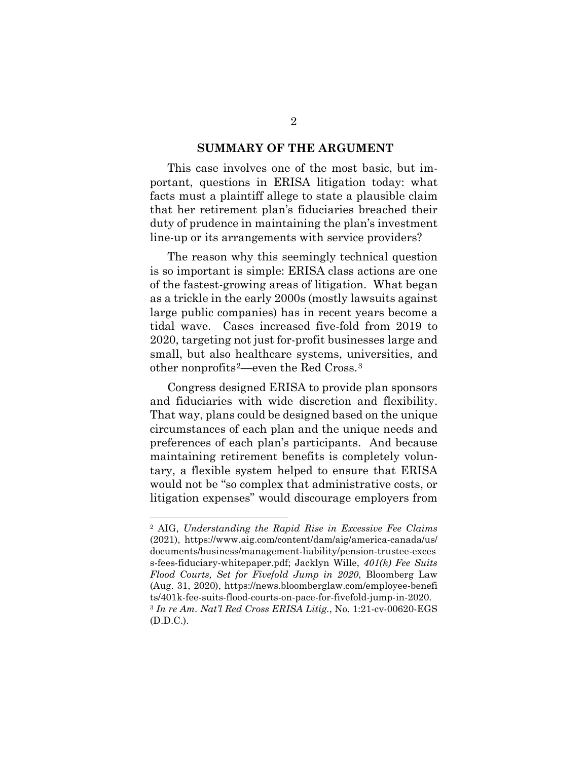#### **SUMMARY OF THE ARGUMENT**

<span id="page-14-0"></span>This case involves one of the most basic, but important, questions in ERISA litigation today: what facts must a plaintiff allege to state a plausible claim that her retirement plan's fiduciaries breached their duty of prudence in maintaining the plan's investment line-up or its arrangements with service providers?

The reason why this seemingly technical question is so important is simple: ERISA class actions are one of the fastest-growing areas of litigation. What began as a trickle in the early 2000s (mostly lawsuits against large public companies) has in recent years become a tidal wave. Cases increased five-fold from 2019 to 2020, targeting not just for-profit businesses large and small, but also healthcare systems, universities, and other nonprofits[2—](#page-14-3)even the Red Cross.[3](#page-14-4)

Congress designed ERISA to provide plan sponsors and fiduciaries with wide discretion and flexibility. That way, plans could be designed based on the unique circumstances of each plan and the unique needs and preferences of each plan's participants. And because maintaining retirement benefits is completely voluntary, a flexible system helped to ensure that ERISA would not be "so complex that administrative costs, or litigation expenses" would discourage employers from

<span id="page-14-4"></span><span id="page-14-3"></span><span id="page-14-2"></span><span id="page-14-1"></span><sup>2</sup> AIG, *Understanding the Rapid Rise in Excessive Fee Claims* (2021), https://www.aig.com/content/dam/aig/america-canada/us/ documents/business/management-liability/pension-trustee-exces s-fees-fiduciary-whitepaper.pdf; Jacklyn Wille, *401(k) Fee Suits Flood Courts, Set for Fivefold Jump in 2020*, Bloomberg Law (Aug. 31, 2020), https://news.bloomberglaw.com/employee-benefi ts/401k-fee-suits-flood-courts-on-pace-for-fivefold-jump-in-2020. <sup>3</sup> *In re Am. Nat'l Red Cross ERISA Litig.*, No. 1:21-cv-00620-EGS (D.D.C.).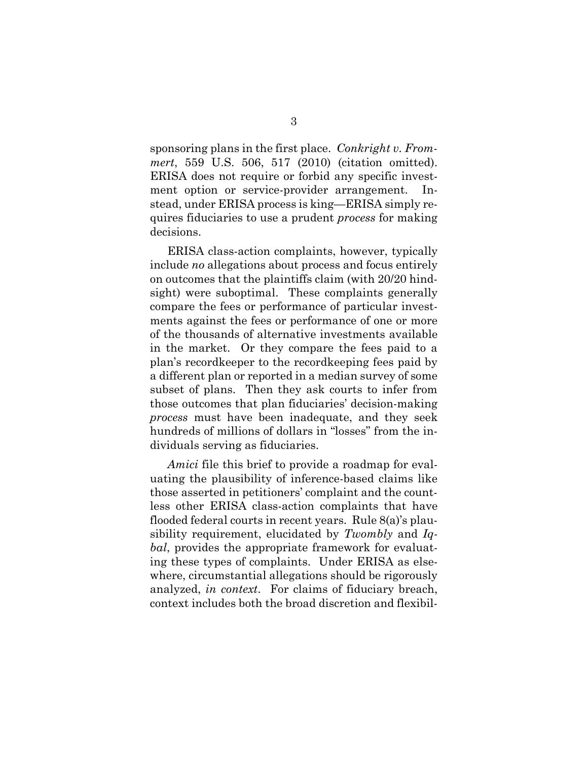<span id="page-15-0"></span>sponsoring plans in the first place. *Conkright v. Frommert*, 559 U.S. 506, 517 (2010) (citation omitted). ERISA does not require or forbid any specific investment option or service-provider arrangement. Instead, under ERISA process is king—ERISA simply requires fiduciaries to use a prudent *process* for making decisions.

ERISA class-action complaints, however, typically include *no* allegations about process and focus entirely on outcomes that the plaintiffs claim (with 20/20 hindsight) were suboptimal. These complaints generally compare the fees or performance of particular investments against the fees or performance of one or more of the thousands of alternative investments available in the market. Or they compare the fees paid to a plan's recordkeeper to the recordkeeping fees paid by a different plan or reported in a median survey of some subset of plans. Then they ask courts to infer from those outcomes that plan fiduciaries' decision-making *process* must have been inadequate, and they seek hundreds of millions of dollars in "losses" from the individuals serving as fiduciaries.

<span id="page-15-1"></span>*Amici* file this brief to provide a roadmap for evaluating the plausibility of inference-based claims like those asserted in petitioners' complaint and the countless other ERISA class-action complaints that have flooded federal courts in recent years. Rule 8(a)'s plausibility requirement, elucidated by *Twombly* and *Iqbal*, provides the appropriate framework for evaluating these types of complaints. Under ERISA as elsewhere, circumstantial allegations should be rigorously analyzed, *in context*. For claims of fiduciary breach, context includes both the broad discretion and flexibil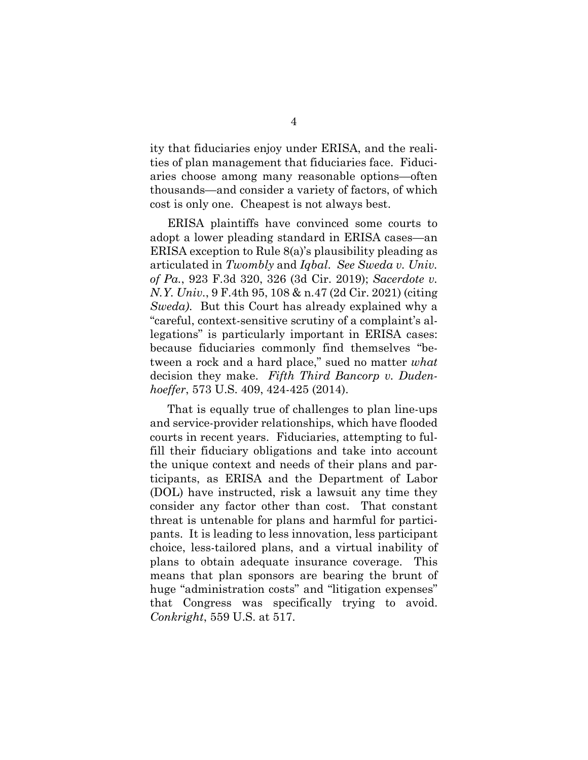ity that fiduciaries enjoy under ERISA, and the realities of plan management that fiduciaries face. Fiduciaries choose among many reasonable options—often thousands—and consider a variety of factors, of which cost is only one. Cheapest is not always best.

<span id="page-16-3"></span><span id="page-16-2"></span><span id="page-16-1"></span>ERISA plaintiffs have convinced some courts to adopt a lower pleading standard in ERISA cases—an ERISA exception to Rule 8(a)'s plausibility pleading as articulated in *Twombly* and *Iqbal*. *See Sweda v. Univ. of Pa.*, 923 F.3d 320, 326 (3d Cir. 2019); *Sacerdote v. N.Y. Univ.*, 9 F.4th 95, 108 & n.47 (2d Cir. 2021) (citing *Sweda)*. But this Court has already explained why a "careful, context-sensitive scrutiny of a complaint's allegations" is particularly important in ERISA cases: because fiduciaries commonly find themselves "between a rock and a hard place," sued no matter *what* decision they make. *Fifth Third Bancorp v. Dudenhoeffer*, 573 U.S. 409, 424-425 (2014).

<span id="page-16-0"></span>That is equally true of challenges to plan line-ups and service-provider relationships, which have flooded courts in recent years. Fiduciaries, attempting to fulfill their fiduciary obligations and take into account the unique context and needs of their plans and participants, as ERISA and the Department of Labor (DOL) have instructed, risk a lawsuit any time they consider any factor other than cost. That constant threat is untenable for plans and harmful for participants. It is leading to less innovation, less participant choice, less-tailored plans, and a virtual inability of plans to obtain adequate insurance coverage. This means that plan sponsors are bearing the brunt of huge "administration costs" and "litigation expenses" that Congress was specifically trying to avoid. *Conkright*, 559 U.S. at 517.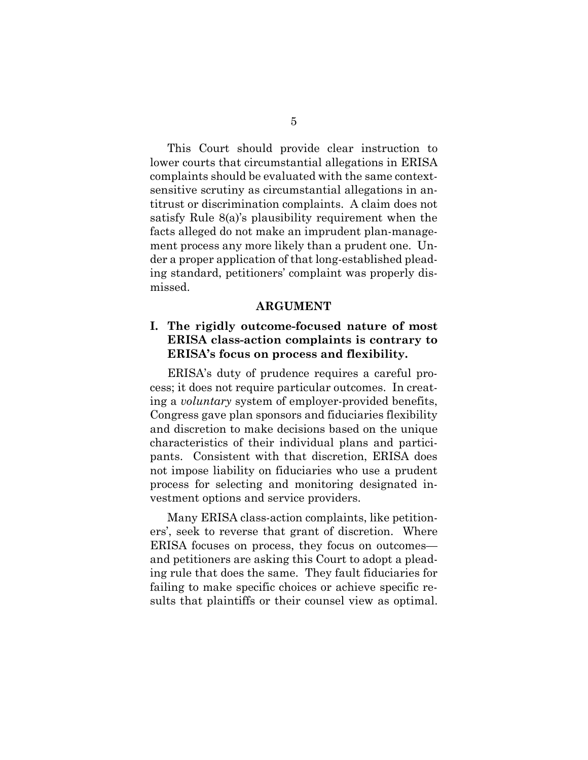<span id="page-17-2"></span>This Court should provide clear instruction to lower courts that circumstantial allegations in ERISA complaints should be evaluated with the same contextsensitive scrutiny as circumstantial allegations in antitrust or discrimination complaints. A claim does not satisfy Rule 8(a)'s plausibility requirement when the facts alleged do not make an imprudent plan-management process any more likely than a prudent one. Under a proper application of that long-established pleading standard, petitioners' complaint was properly dismissed.

#### **ARGUMENT**

### <span id="page-17-1"></span><span id="page-17-0"></span>**I. The rigidly outcome-focused nature of most ERISA class-action complaints is contrary to ERISA's focus on process and flexibility.**

ERISA's duty of prudence requires a careful process; it does not require particular outcomes. In creating a *voluntary* system of employer-provided benefits, Congress gave plan sponsors and fiduciaries flexibility and discretion to make decisions based on the unique characteristics of their individual plans and participants. Consistent with that discretion, ERISA does not impose liability on fiduciaries who use a prudent process for selecting and monitoring designated investment options and service providers.

Many ERISA class-action complaints, like petitioners', seek to reverse that grant of discretion. Where ERISA focuses on process, they focus on outcomes and petitioners are asking this Court to adopt a pleading rule that does the same. They fault fiduciaries for failing to make specific choices or achieve specific results that plaintiffs or their counsel view as optimal.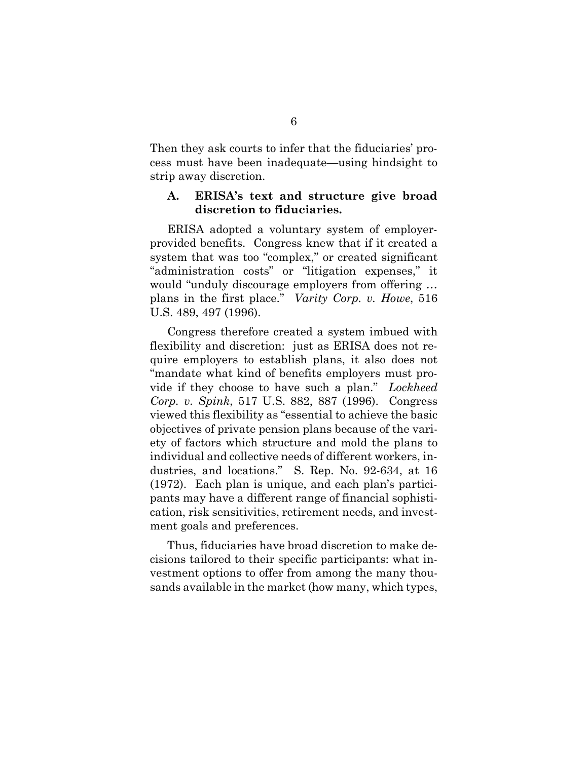Then they ask courts to infer that the fiduciaries' process must have been inadequate—using hindsight to strip away discretion.

#### <span id="page-18-0"></span>**A. ERISA's text and structure give broad discretion to fiduciaries.**

ERISA adopted a voluntary system of employerprovided benefits. Congress knew that if it created a system that was too "complex," or created significant "administration costs" or "litigation expenses," it would "unduly discourage employers from offering … plans in the first place." *Varity Corp. v. Howe*, 516 U.S. 489, 497 (1996).

<span id="page-18-2"></span><span id="page-18-1"></span>Congress therefore created a system imbued with flexibility and discretion: just as ERISA does not require employers to establish plans, it also does not "mandate what kind of benefits employers must provide if they choose to have such a plan." *Lockheed Corp. v. Spink*, 517 U.S. 882, 887 (1996). Congress viewed this flexibility as "essential to achieve the basic objectives of private pension plans because of the variety of factors which structure and mold the plans to individual and collective needs of different workers, industries, and locations." S. Rep. No. 92-634, at 16 (1972). Each plan is unique, and each plan's participants may have a different range of financial sophistication, risk sensitivities, retirement needs, and investment goals and preferences.

<span id="page-18-3"></span>Thus, fiduciaries have broad discretion to make decisions tailored to their specific participants: what investment options to offer from among the many thousands available in the market (how many, which types,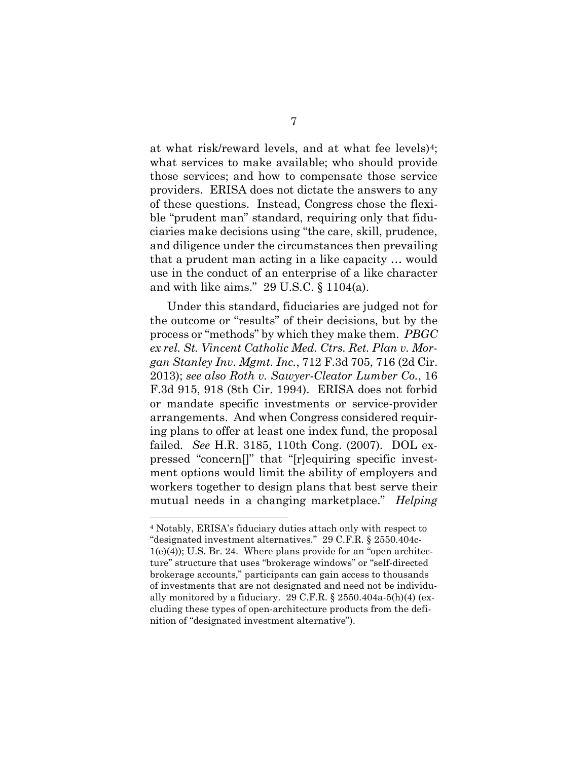at what risk/reward levels, and at what fee levels)[4](#page-19-7); what services to make available; who should provide those services; and how to compensate those service providers. ERISA does not dictate the answers to any of these questions. Instead, Congress chose the flexible "prudent man" standard, requiring only that fiduciaries make decisions using "the care, skill, prudence, and diligence under the circumstances then prevailing that a prudent man acting in a like capacity … would use in the conduct of an enterprise of a like character and with like aims." 29 U.S.C. § 1104(a).

<span id="page-19-2"></span><span id="page-19-1"></span><span id="page-19-0"></span>Under this standard, fiduciaries are judged not for the outcome or "results" of their decisions, but by the process or "methods" by which they make them. *PBGC ex rel. St. Vincent Catholic Med. Ctrs. Ret. Plan v. Morgan Stanley Inv. Mgmt. Inc.*, 712 F.3d 705, 716 (2d Cir. 2013); *see also Roth v. Sawyer-Cleator Lumber Co.*, 16 F.3d 915, 918 (8th Cir. 1994). ERISA does not forbid or mandate specific investments or service-provider arrangements. And when Congress considered requiring plans to offer at least one index fund, the proposal failed. *See* H.R. 3185, 110th Cong. (2007). DOL expressed "concern[]" that "[r]equiring specific investment options would limit the ability of employers and workers together to design plans that best serve their mutual needs in a changing marketplace." *Helping* 

<span id="page-19-7"></span><span id="page-19-6"></span><span id="page-19-5"></span><span id="page-19-4"></span><span id="page-19-3"></span><sup>4</sup> Notably, ERISA's fiduciary duties attach only with respect to "designated investment alternatives." 29 C.F.R. § 2550.404c-1(e)(4)); U.S. Br. 24. Where plans provide for an "open architecture" structure that uses "brokerage windows" or "self-directed brokerage accounts," participants can gain access to thousands of investments that are not designated and need not be individually monitored by a fiduciary. 29 C.F.R.  $\S 2550.404a.5(h)(4)$  (excluding these types of open-architecture products from the definition of "designated investment alternative").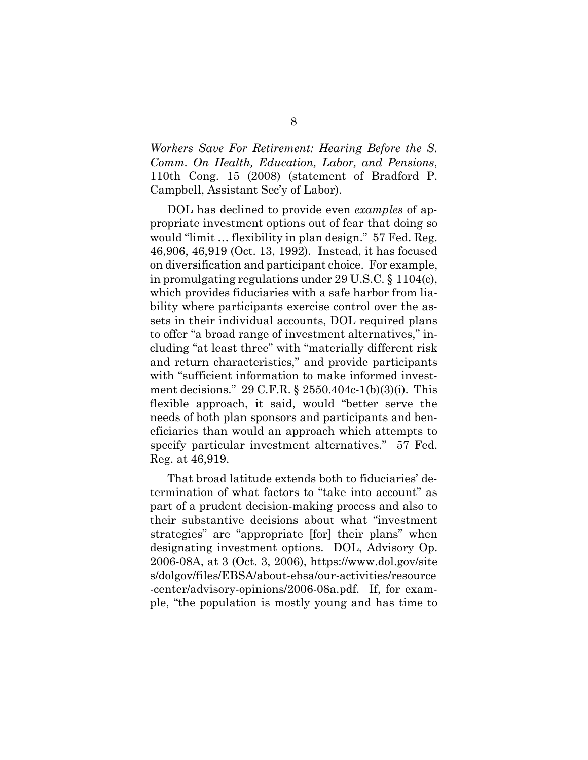*Workers Save For Retirement: Hearing Before the S. Comm. On Health, Education, Labor, and Pensions*, 110th Cong. 15 (2008) (statement of Bradford P. Campbell, Assistant Sec'y of Labor).

<span id="page-20-2"></span><span id="page-20-0"></span>DOL has declined to provide even *examples* of appropriate investment options out of fear that doing so would "limit … flexibility in plan design." 57 Fed. Reg. 46,906, 46,919 (Oct. 13, 1992). Instead, it has focused on diversification and participant choice. For example, in promulgating regulations under 29 U.S.C. § 1104(c), which provides fiduciaries with a safe harbor from liability where participants exercise control over the assets in their individual accounts, DOL required plans to offer "a broad range of investment alternatives," including "at least three" with "materially different risk and return characteristics," and provide participants with "sufficient information to make informed investment decisions." 29 C.F.R. § 2550.404c-1(b)(3)(i). This flexible approach, it said, would "better serve the needs of both plan sponsors and participants and beneficiaries than would an approach which attempts to specify particular investment alternatives." 57 Fed. Reg. at 46,919.

<span id="page-20-3"></span><span id="page-20-1"></span>That broad latitude extends both to fiduciaries' determination of what factors to "take into account" as part of a prudent decision-making process and also to their substantive decisions about what "investment strategies" are "appropriate [for] their plans" when designating investment options. DOL, Advisory Op. 2006-08A, at 3 (Oct. 3, 2006), https://www.dol.gov/site s/dolgov/files/EBSA/about-ebsa/our-activities/resource -center/advisory-opinions/2006-08a.pdf. If, for example, "the population is mostly young and has time to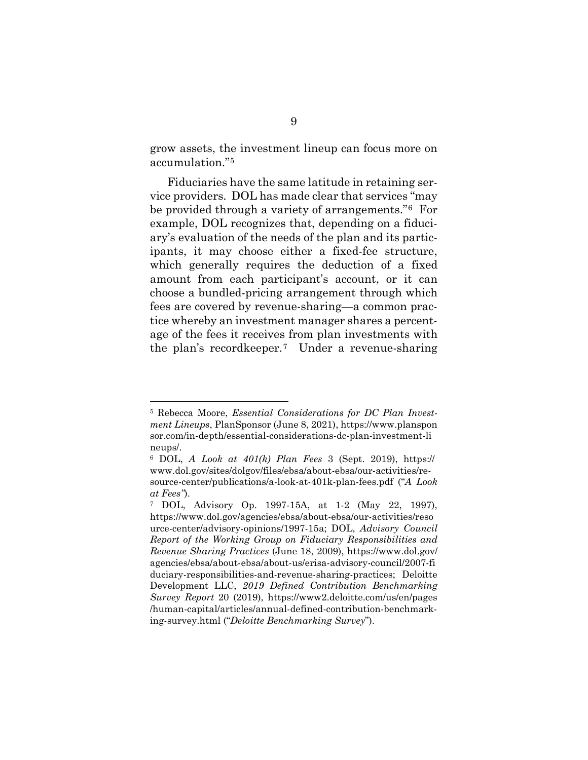grow assets, the investment lineup can focus more on accumulation."[5](#page-21-5)

Fiduciaries have the same latitude in retaining service providers. DOL has made clear that services "may be provided through a variety of arrangements."[6](#page-21-6) For example, DOL recognizes that, depending on a fiduciary's evaluation of the needs of the plan and its participants, it may choose either a fixed-fee structure, which generally requires the deduction of a fixed amount from each participant's account, or it can choose a bundled-pricing arrangement through which fees are covered by revenue-sharing—a common practice whereby an investment manager shares a percentage of the fees it receives from plan investments with the plan's recordkeeper.[7](#page-21-7) Under a revenue-sharing

<span id="page-21-5"></span><span id="page-21-4"></span><sup>5</sup> Rebecca Moore, *Essential Considerations for DC Plan Investment Lineups*, PlanSponsor (June 8, 2021), https://www.planspon sor.com/in-depth/essential-considerations-dc-plan-investment-li neups/.

<span id="page-21-6"></span><span id="page-21-1"></span><sup>6</sup> DOL, *A Look at 401(k) Plan Fees* 3 (Sept. 2019), https:// www.dol.gov/sites/dolgov/files/ebsa/about-ebsa/our-activities/resource-center/publications/a-look-at-401k-plan-fees.pdf ("*A Look at Fees"*).

<span id="page-21-7"></span><span id="page-21-3"></span><span id="page-21-2"></span><span id="page-21-0"></span><sup>7</sup> DOL, Advisory Op. 1997-15A, at 1-2 (May 22, 1997), https://www.dol.gov/agencies/ebsa/about-ebsa/our-activities/reso urce-center/advisory-opinions/1997-15a; DOL, *Advisory Council Report of the Working Group on Fiduciary Responsibilities and Revenue Sharing Practices* (June 18, 2009), https://www.dol.gov/ agencies/ebsa/about-ebsa/about-us/erisa-advisory-council/2007-fi duciary-responsibilities-and-revenue-sharing-practices; Deloitte Development LLC, *2019 Defined Contribution Benchmarking Survey Report* 20 (2019), https://www2.deloitte.com/us/en/pages /human-capital/articles/annual-defined-contribution-benchmarking-survey.html ("*Deloitte Benchmarking Survey*").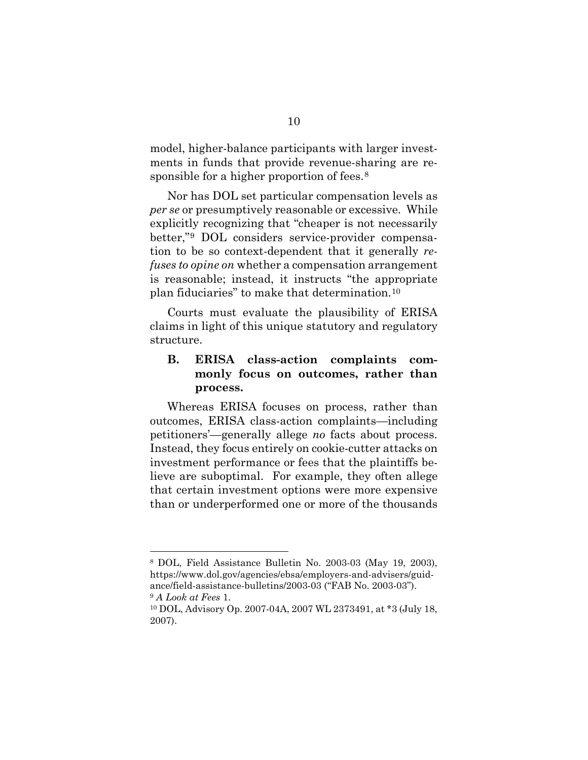model, higher-balance participants with larger investments in funds that provide revenue-sharing are re-sponsible for a higher proportion of fees.<sup>[8](#page-22-4)</sup>

Nor has DOL set particular compensation levels as *per se* or presumptively reasonable or excessive. While explicitly recognizing that "cheaper is not necessarily better,"[9](#page-22-5) DOL considers service-provider compensation to be so context-dependent that it generally *refuses to opine on* whether a compensation arrangement is reasonable; instead, it instructs "the appropriate plan fiduciaries" to make that determination.[10](#page-22-6)

Courts must evaluate the plausibility of ERISA claims in light of this unique statutory and regulatory structure.

## <span id="page-22-0"></span>**B. ERISA class-action complaints commonly focus on outcomes, rather than process.**

Whereas ERISA focuses on process, rather than outcomes, ERISA class-action complaints—including petitioners'—generally allege *no* facts about process. Instead, they focus entirely on cookie-cutter attacks on investment performance or fees that the plaintiffs believe are suboptimal. For example, they often allege that certain investment options were more expensive than or underperformed one or more of the thousands

<span id="page-22-4"></span><span id="page-22-2"></span><sup>8</sup> DOL, Field Assistance Bulletin No. 2003-03 (May 19, 2003), https://www.dol.gov/agencies/ebsa/employers-and-advisers/guidance/field-assistance-bulletins/2003-03 ("FAB No. 2003-03").

<span id="page-22-1"></span><sup>9</sup> *A Look at Fees* 1.

<span id="page-22-6"></span><span id="page-22-5"></span><span id="page-22-3"></span><sup>10</sup> DOL, Advisory Op. 2007-04A, 2007 WL 2373491, at \*3 (July 18, 2007).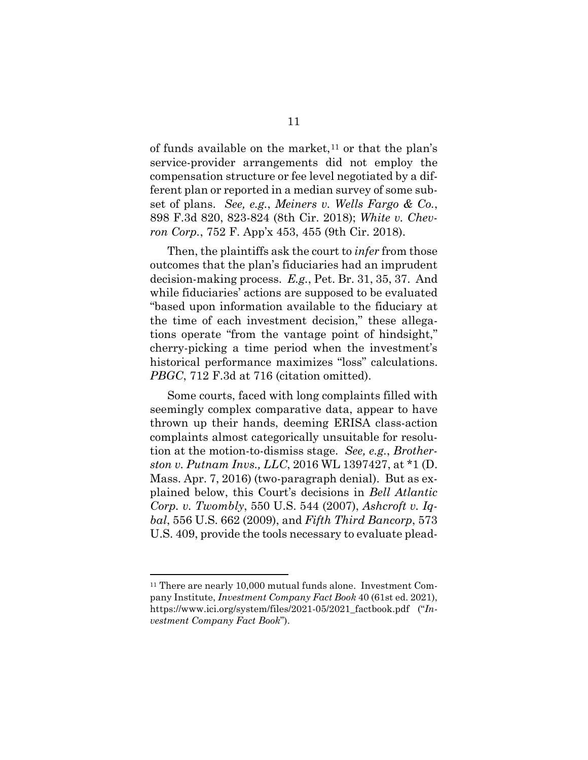of funds available on the market,  $11$  or that the plan's service-provider arrangements did not employ the compensation structure or fee level negotiated by a different plan or reported in a median survey of some subset of plans. *See, e.g.*, *Meiners v. Wells Fargo & Co.*, 898 F.3d 820, 823-824 (8th Cir. 2018); *White v. Chevron Corp.*, 752 F. App'x 453, 455 (9th Cir. 2018).

<span id="page-23-6"></span><span id="page-23-4"></span>Then, the plaintiffs ask the court to *infer* from those outcomes that the plan's fiduciaries had an imprudent decision-making process. *E.g.*, Pet. Br. 31, 35, 37. And while fiduciaries' actions are supposed to be evaluated "based upon information available to the fiduciary at the time of each investment decision," these allegations operate "from the vantage point of hindsight," cherry-picking a time period when the investment's historical performance maximizes "loss" calculations. *PBGC*, 712 F.3d at 716 (citation omitted).

<span id="page-23-5"></span><span id="page-23-2"></span><span id="page-23-1"></span>Some courts, faced with long complaints filled with seemingly complex comparative data, appear to have thrown up their hands, deeming ERISA class-action complaints almost categorically unsuitable for resolution at the motion-to-dismiss stage. *See, e.g.*, *Brotherston v. Putnam Invs., LLC*, 2016 WL 1397427, at \*1 (D. Mass. Apr. 7, 2016) (two-paragraph denial). But as explained below, this Court's decisions in *Bell Atlantic Corp. v. Twombly*, 550 U.S. 544 (2007), *Ashcroft v. Iqbal*, 556 U.S. 662 (2009), and *Fifth Third Bancorp*, 573 U.S. 409, provide the tools necessary to evaluate plead-

<span id="page-23-8"></span><span id="page-23-7"></span><span id="page-23-3"></span><span id="page-23-0"></span><sup>&</sup>lt;sup>11</sup> There are nearly 10,000 mutual funds alone. Investment Company Institute, *Investment Company Fact Book* 40 (61st ed. 2021), https://www.ici.org/system/files/2021-05/2021\_factbook.pdf ("*Investment Company Fact Book*").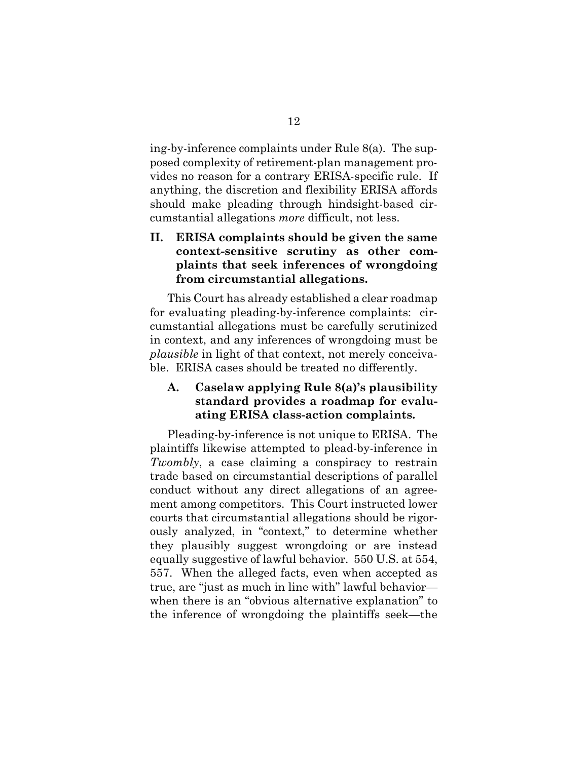<span id="page-24-3"></span>ing-by-inference complaints under Rule 8(a). The supposed complexity of retirement-plan management provides no reason for a contrary ERISA-specific rule. If anything, the discretion and flexibility ERISA affords should make pleading through hindsight-based circumstantial allegations *more* difficult, not less.

## <span id="page-24-0"></span>**II. ERISA complaints should be given the same context-sensitive scrutiny as other complaints that seek inferences of wrongdoing from circumstantial allegations.**

This Court has already established a clear roadmap for evaluating pleading-by-inference complaints: circumstantial allegations must be carefully scrutinized in context, and any inferences of wrongdoing must be *plausible* in light of that context, not merely conceivable. ERISA cases should be treated no differently.

### <span id="page-24-1"></span>**A. Caselaw applying Rule 8(a)'s plausibility standard provides a roadmap for evaluating ERISA class-action complaints.**

<span id="page-24-2"></span>Pleading-by-inference is not unique to ERISA. The plaintiffs likewise attempted to plead-by-inference in *Twombly*, a case claiming a conspiracy to restrain trade based on circumstantial descriptions of parallel conduct without any direct allegations of an agreement among competitors. This Court instructed lower courts that circumstantial allegations should be rigorously analyzed, in "context," to determine whether they plausibly suggest wrongdoing or are instead equally suggestive of lawful behavior. 550 U.S. at 554, 557. When the alleged facts, even when accepted as true, are "just as much in line with" lawful behavior when there is an "obvious alternative explanation" to the inference of wrongdoing the plaintiffs seek—the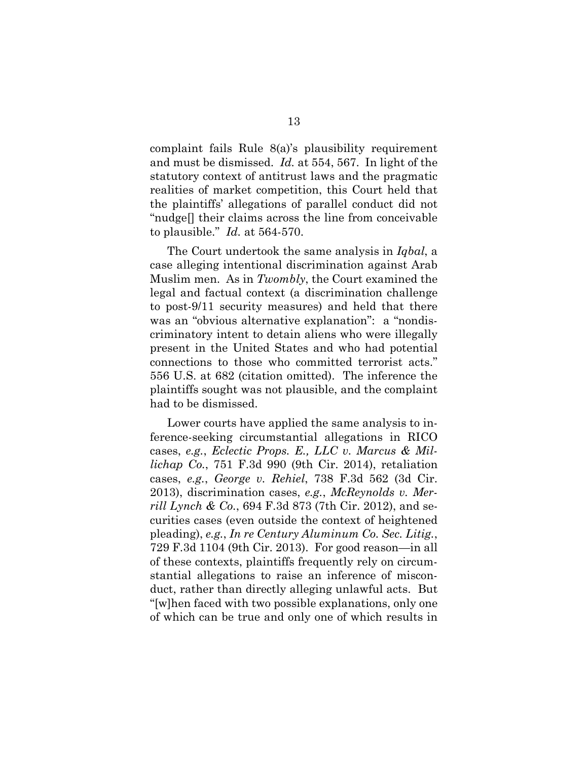<span id="page-25-6"></span><span id="page-25-1"></span>complaint fails Rule 8(a)'s plausibility requirement and must be dismissed. *Id.* at 554, 567. In light of the statutory context of antitrust laws and the pragmatic realities of market competition, this Court held that the plaintiffs' allegations of parallel conduct did not "nudge[] their claims across the line from conceivable to plausible." *Id.* at 564-570.

<span id="page-25-0"></span>The Court undertook the same analysis in *Iqbal*, a case alleging intentional discrimination against Arab Muslim men. As in *Twombly*, the Court examined the legal and factual context (a discrimination challenge to post-9/11 security measures) and held that there was an "obvious alternative explanation": a "nondiscriminatory intent to detain aliens who were illegally present in the United States and who had potential connections to those who committed terrorist acts." 556 U.S. at 682 (citation omitted). The inference the plaintiffs sought was not plausible, and the complaint had to be dismissed.

<span id="page-25-5"></span><span id="page-25-4"></span><span id="page-25-3"></span><span id="page-25-2"></span>Lower courts have applied the same analysis to inference-seeking circumstantial allegations in RICO cases, *e.g.*, *Eclectic Props. E., LLC v. Marcus & Millichap Co.*, 751 F.3d 990 (9th Cir. 2014), retaliation cases, *e.g.*, *George v. Rehiel*, 738 F.3d 562 (3d Cir. 2013), discrimination cases, *e.g.*, *McReynolds v. Merrill Lynch & Co.*, 694 F.3d 873 (7th Cir. 2012), and securities cases (even outside the context of heightened pleading), *e.g.*, *In re Century Aluminum Co. Sec. Litig.*, 729 F.3d 1104 (9th Cir. 2013). For good reason—in all of these contexts, plaintiffs frequently rely on circumstantial allegations to raise an inference of misconduct, rather than directly alleging unlawful acts. But "[w]hen faced with two possible explanations, only one of which can be true and only one of which results in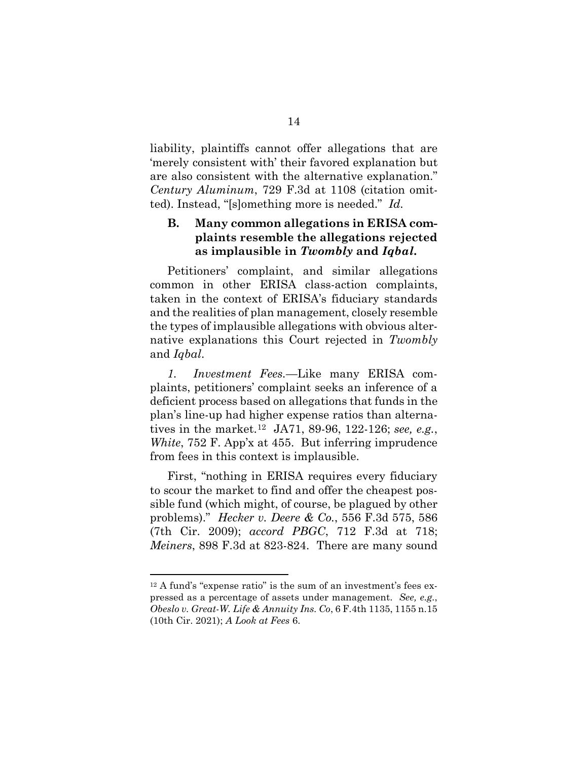liability, plaintiffs cannot offer allegations that are 'merely consistent with' their favored explanation but are also consistent with the alternative explanation." *Century Aluminum*, 729 F.3d at 1108 (citation omitted). Instead, "[s]omething more is needed." *Id.*

## <span id="page-26-1"></span><span id="page-26-0"></span>**B. Many common allegations in ERISA complaints resemble the allegations rejected as implausible in** *Twombly* **and** *Iqbal***.**

Petitioners' complaint, and similar allegations common in other ERISA class-action complaints, taken in the context of ERISA's fiduciary standards and the realities of plan management, closely resemble the types of implausible allegations with obvious alternative explanations this Court rejected in *Twombly*  and *Iqbal*.

*1. Investment Fees.—*Like many ERISA complaints, petitioners' complaint seeks an inference of a deficient process based on allegations that funds in the plan's line-up had higher expense ratios than alternatives in the market.[12](#page-26-8) JA71, 89-96, 122-126; *see, e.g.*, *White*, 752 F. App'x at 455. But inferring imprudence from fees in this context is implausible.

<span id="page-26-6"></span><span id="page-26-5"></span><span id="page-26-2"></span>First, "nothing in ERISA requires every fiduciary to scour the market to find and offer the cheapest possible fund (which might, of course, be plagued by other problems)." *Hecker v. Deere & Co.*, 556 F.3d 575, 586 (7th Cir. 2009); *accord PBGC*, 712 F.3d at 718; *Meiners*, 898 F.3d at 823-824. There are many sound

<span id="page-26-8"></span><span id="page-26-7"></span><span id="page-26-4"></span><span id="page-26-3"></span><sup>12</sup> A fund's "expense ratio" is the sum of an investment's fees expressed as a percentage of assets under management. *See, e.g.*, *Obeslo v. Great-W. Life & Annuity Ins. Co*, 6 F.4th 1135, 1155 n.15 (10th Cir. 2021); *A Look at Fees* 6.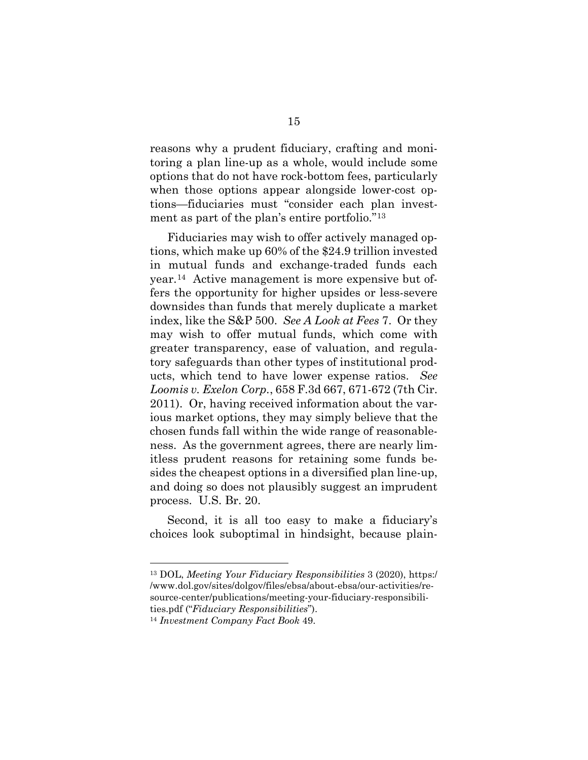reasons why a prudent fiduciary, crafting and monitoring a plan line-up as a whole, would include some options that do not have rock-bottom fees, particularly when those options appear alongside lower-cost options—fiduciaries must "consider each plan investment as part of the plan's entire portfolio."[13](#page-27-4) 

<span id="page-27-1"></span>Fiduciaries may wish to offer actively managed options, which make up 60% of the \$24.9 trillion invested in mutual funds and exchange-traded funds each year.[14](#page-27-5) Active management is more expensive but offers the opportunity for higher upsides or less-severe downsides than funds that merely duplicate a market index, like the S&P 500. *See A Look at Fees* 7. Or they may wish to offer mutual funds, which come with greater transparency, ease of valuation, and regulatory safeguards than other types of institutional products, which tend to have lower expense ratios. *See Loomis v. Exelon Corp.*, 658 F.3d 667, 671-672 (7th Cir. 2011). Or, having received information about the various market options, they may simply believe that the chosen funds fall within the wide range of reasonableness. As the government agrees, there are nearly limitless prudent reasons for retaining some funds besides the cheapest options in a diversified plan line-up, and doing so does not plausibly suggest an imprudent process. U.S. Br. 20.

<span id="page-27-0"></span>Second, it is all too easy to make a fiduciary's choices look suboptimal in hindsight, because plain-

<span id="page-27-4"></span><span id="page-27-2"></span><sup>13</sup> DOL, *Meeting Your Fiduciary Responsibilities* 3 (2020), https:/ /www.dol.gov/sites/dolgov/files/ebsa/about-ebsa/our-activities/resource-center/publications/meeting-your-fiduciary-responsibilities.pdf ("*Fiduciary Responsibilities*").

<span id="page-27-5"></span><span id="page-27-3"></span><sup>14</sup> *Investment Company Fact Book* 49.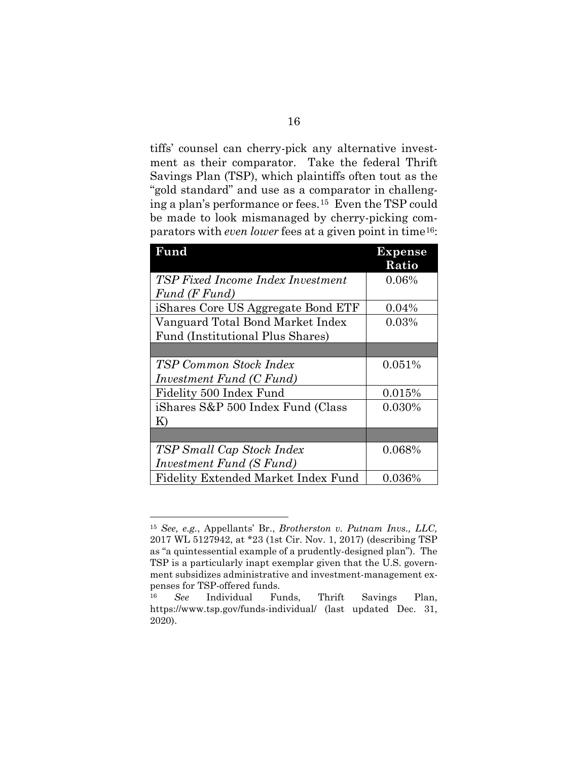tiffs' counsel can cherry-pick any alternative investment as their comparator. Take the federal Thrift Savings Plan (TSP), which plaintiffs often tout as the "gold standard" and use as a comparator in challenging a plan's performance or fees.[15](#page-28-1) Even the TSP could be made to look mismanaged by cherry-picking comparators with *even lower* fees at a given point in time[16](#page-28-2):

| Fund                                | Expense  |
|-------------------------------------|----------|
|                                     | Ratio    |
| TSP Fixed Income Index Investment   | 0.06%    |
| Fund (F Fund)                       |          |
| iShares Core US Aggregate Bond ETF  | $0.04\%$ |
| Vanguard Total Bond Market Index    | 0.03%    |
| Fund (Institutional Plus Shares)    |          |
|                                     |          |
| TSP Common Stock Index              | 0.051%   |
| Investment Fund (C Fund)            |          |
| Fidelity 500 Index Fund             | 0.015%   |
| iShares S&P 500 Index Fund (Class   | 0.030%   |
| K)                                  |          |
|                                     |          |
| TSP Small Cap Stock Index           | 0.068%   |
| Investment Fund (S Fund)            |          |
| Fidelity Extended Market Index Fund | 0.036%   |

<span id="page-28-1"></span><sup>15</sup> *See, e.g.*, Appellants' Br., *Brotherston v. Putnam Invs., LLC,* 2017 WL 5127942, at \*23 (1st Cir. Nov. 1, 2017) (describing TSP as "a quintessential example of a prudently-designed plan"). The TSP is a particularly inapt exemplar given that the U.S. government subsidizes administrative and investment-management expenses for TSP-offered funds.

<span id="page-28-2"></span><span id="page-28-0"></span><sup>16</sup> *See* Individual Funds, Thrift Savings Plan, https://www.tsp.gov/funds-individual/ (last updated Dec. 31, 2020).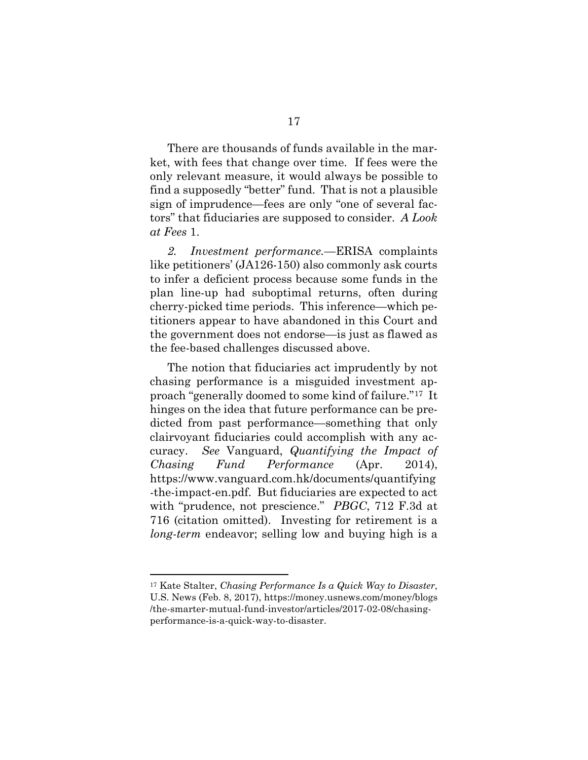There are thousands of funds available in the market, with fees that change over time. If fees were the only relevant measure, it would always be possible to find a supposedly "better" fund. That is not a plausible sign of imprudence—fees are only "one of several factors" that fiduciaries are supposed to consider. *A Look at Fees* 1.

<span id="page-29-1"></span>*2. Investment performance.—*ERISA complaints like petitioners' (JA126-150) also commonly ask courts to infer a deficient process because some funds in the plan line-up had suboptimal returns, often during cherry-picked time periods. This inference—which petitioners appear to have abandoned in this Court and the government does not endorse—is just as flawed as the fee-based challenges discussed above.

<span id="page-29-3"></span>The notion that fiduciaries act imprudently by not chasing performance is a misguided investment approach "generally doomed to some kind of failure."[17](#page-29-4) It hinges on the idea that future performance can be predicted from past performance—something that only clairvoyant fiduciaries could accomplish with any accuracy. *See* Vanguard, *Quantifying the Impact of Chasing Fund Performance* (Apr. 2014), https://www.vanguard.com.hk/documents/quantifying -the-impact-en.pdf. But fiduciaries are expected to act with "prudence, not prescience." *PBGC*, 712 F.3d at 716 (citation omitted). Investing for retirement is a *long-term* endeavor; selling low and buying high is a

<span id="page-29-4"></span><span id="page-29-2"></span><span id="page-29-0"></span><sup>17</sup> Kate Stalter, *Chasing Performance Is a Quick Way to Disaster*, U.S. News (Feb. 8, 2017), https://money.usnews.com/money/blogs /the-smarter-mutual-fund-investor/articles/2017-02-08/chasingperformance-is-a-quick-way-to-disaster.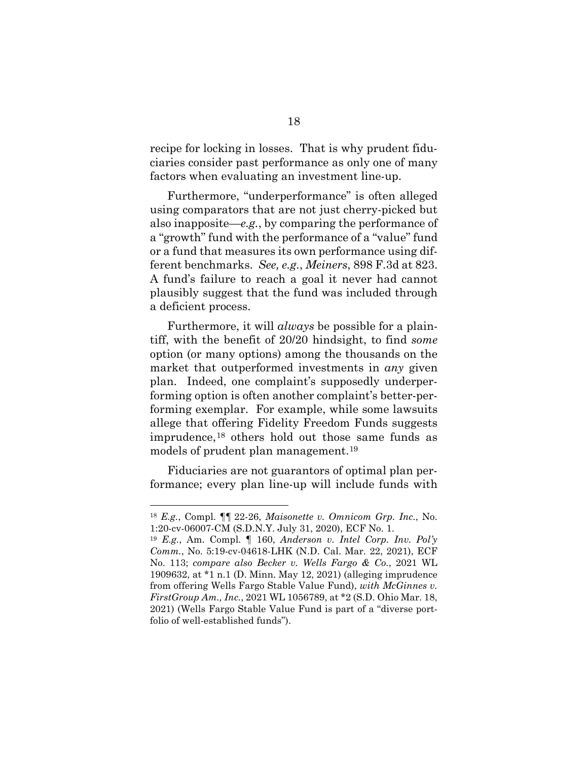recipe for locking in losses. That is why prudent fiduciaries consider past performance as only one of many factors when evaluating an investment line-up.

Furthermore, "underperformance" is often alleged using comparators that are not just cherry-picked but also inapposite—*e.g.*, by comparing the performance of a "growth" fund with the performance of a "value" fund or a fund that measures its own performance using different benchmarks. *See, e.g.*, *Meiners*, 898 F.3d at 823. A fund's failure to reach a goal it never had cannot plausibly suggest that the fund was included through a deficient process.

<span id="page-30-2"></span>Furthermore, it will *always* be possible for a plaintiff, with the benefit of 20/20 hindsight, to find *some*  option (or many options) among the thousands on the market that outperformed investments in *any* given plan. Indeed, one complaint's supposedly underperforming option is often another complaint's better-performing exemplar. For example, while some lawsuits allege that offering Fidelity Freedom Funds suggests imprudence,[18](#page-30-3) others hold out those same funds as models of prudent plan management.[19](#page-30-4)

Fiduciaries are not guarantors of optimal plan performance; every plan line-up will include funds with

<span id="page-30-3"></span><sup>18</sup> *E.g.*, Compl. ¶¶ 22-26, *Maisonette v. Omnicom Grp. Inc.*, No. 1:20-cv-06007-CM (S.D.N.Y. July 31, 2020), ECF No. 1.

<span id="page-30-4"></span><span id="page-30-1"></span><span id="page-30-0"></span><sup>19</sup> *E.g.*, Am. Compl. ¶ 160, *Anderson v. Intel Corp. Inv. Pol'y Comm.*, No. 5:19-cv-04618-LHK (N.D. Cal. Mar. 22, 2021), ECF No. 113; *compare also Becker v. Wells Fargo & Co.*, 2021 WL 1909632, at \*1 n.1 (D. Minn. May 12, 2021) (alleging imprudence from offering Wells Fargo Stable Value Fund), *with McGinnes v. FirstGroup Am., Inc.*, 2021 WL 1056789, at \*2 (S.D. Ohio Mar. 18, 2021) (Wells Fargo Stable Value Fund is part of a "diverse portfolio of well-established funds").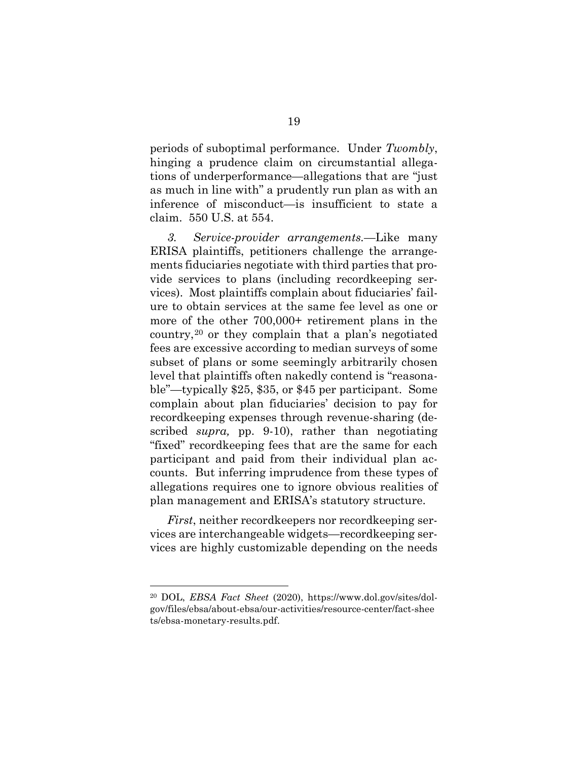<span id="page-31-0"></span>periods of suboptimal performance. Under *Twombly*, hinging a prudence claim on circumstantial allegations of underperformance—allegations that are "just as much in line with" a prudently run plan as with an inference of misconduct—is insufficient to state a claim. 550 U.S. at 554.

*3. Service-provider arrangements.—*Like many ERISA plaintiffs, petitioners challenge the arrangements fiduciaries negotiate with third parties that provide services to plans (including recordkeeping services). Most plaintiffs complain about fiduciaries' failure to obtain services at the same fee level as one or more of the other 700,000+ retirement plans in the country,[20](#page-31-2) or they complain that a plan's negotiated fees are excessive according to median surveys of some subset of plans or some seemingly arbitrarily chosen level that plaintiffs often nakedly contend is "reasonable"—typically \$25, \$35, or \$45 per participant. Some complain about plan fiduciaries' decision to pay for recordkeeping expenses through revenue-sharing (described *supra,* pp. 9-10), rather than negotiating "fixed" recordkeeping fees that are the same for each participant and paid from their individual plan accounts. But inferring imprudence from these types of allegations requires one to ignore obvious realities of plan management and ERISA's statutory structure.

*First*, neither recordkeepers nor recordkeeping services are interchangeable widgets—recordkeeping services are highly customizable depending on the needs

<span id="page-31-2"></span><span id="page-31-1"></span><sup>20</sup> DOL, *EBSA Fact Sheet* (2020), https://www.dol.gov/sites/dolgov/files/ebsa/about-ebsa/our-activities/resource-center/fact-shee ts/ebsa-monetary-results.pdf.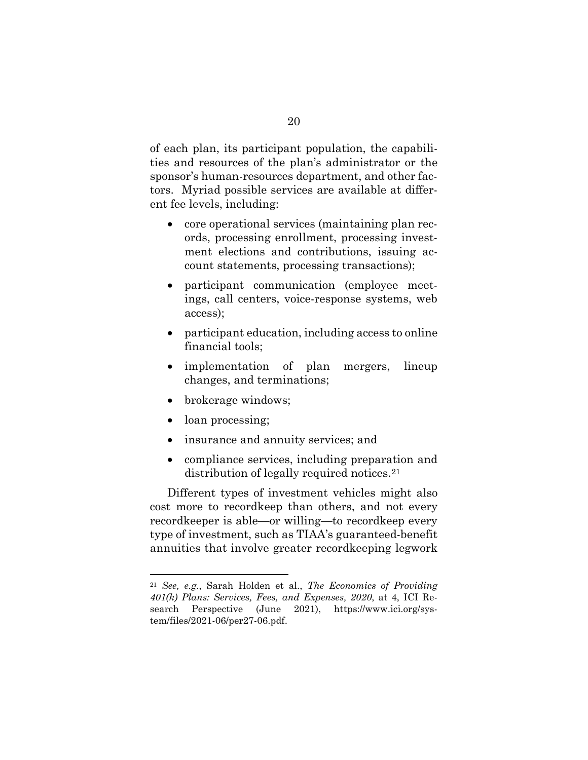of each plan, its participant population, the capabilities and resources of the plan's administrator or the sponsor's human-resources department, and other factors. Myriad possible services are available at different fee levels, including:

- core operational services (maintaining plan records, processing enrollment, processing investment elections and contributions, issuing account statements, processing transactions);
- participant communication (employee meetings, call centers, voice-response systems, web access);
- participant education, including access to online financial tools;
- implementation of plan mergers, lineup changes, and terminations;
- brokerage windows;
- loan processing;
- insurance and annuity services; and
- compliance services, including preparation and distribution of legally required notices.<sup>[21](#page-32-1)</sup>

Different types of investment vehicles might also cost more to recordkeep than others, and not every recordkeeper is able—or willing—to recordkeep every type of investment, such as TIAA's guaranteed-benefit annuities that involve greater recordkeeping legwork

<span id="page-32-1"></span><span id="page-32-0"></span><sup>21</sup> *See, e.g.*, Sarah Holden et al., *The Economics of Providing 401(k) Plans: Services, Fees, and Expenses, 2020*, at 4, ICI Research Perspective (June 2021), https://www.ici.org/system/files/2021-06/per27-06.pdf.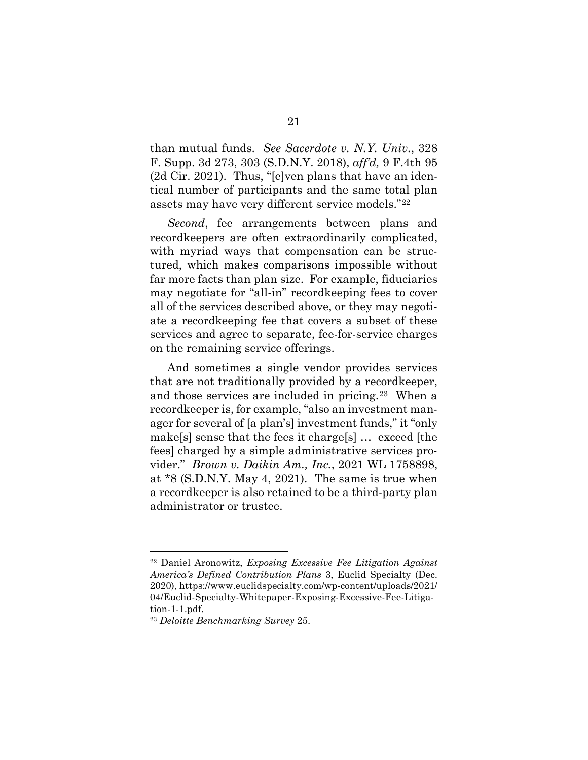<span id="page-33-1"></span>than mutual funds. *See Sacerdote v. N.Y. Univ.*, 328 F. Supp. 3d 273, 303 (S.D.N.Y. 2018), *aff'd,* 9 F.4th 95 (2d Cir. 2021). Thus, "[e]ven plans that have an identical number of participants and the same total plan assets may have very different service models."[22](#page-33-4)

*Second*, fee arrangements between plans and recordkeepers are often extraordinarily complicated, with myriad ways that compensation can be structured, which makes comparisons impossible without far more facts than plan size. For example, fiduciaries may negotiate for "all-in" recordkeeping fees to cover all of the services described above, or they may negotiate a recordkeeping fee that covers a subset of these services and agree to separate, fee-for-service charges on the remaining service offerings.

<span id="page-33-0"></span>And sometimes a single vendor provides services that are not traditionally provided by a recordkeeper, and those services are included in pricing.[23](#page-33-5) When a recordkeeper is, for example, "also an investment manager for several of [a plan's] investment funds," it "only make[s] sense that the fees it charge[s] … exceed [the fees] charged by a simple administrative services provider." *Brown v. Daikin Am., Inc.*, 2021 WL 1758898, at \*8 (S.D.N.Y. May 4, 2021). The same is true when a recordkeeper is also retained to be a third-party plan administrator or trustee.

<span id="page-33-4"></span><span id="page-33-2"></span><sup>22</sup> Daniel Aronowitz, *Exposing Excessive Fee Litigation Against America's Defined Contribution Plans* 3, Euclid Specialty (Dec. 2020), https://www.euclidspecialty.com/wp-content/uploads/2021/ 04/Euclid-Specialty-Whitepaper-Exposing-Excessive-Fee-Litigation-1-1.pdf.

<span id="page-33-5"></span><span id="page-33-3"></span><sup>23</sup> *Deloitte Benchmarking Survey* 25.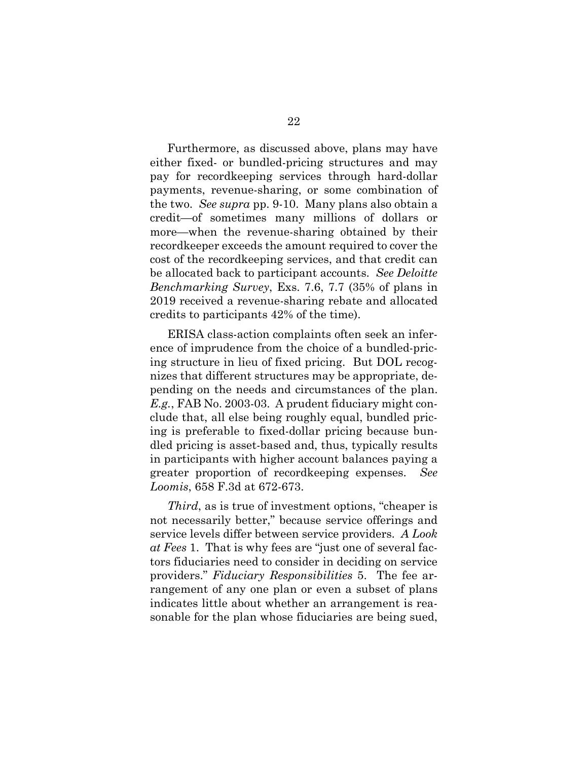Furthermore, as discussed above, plans may have either fixed- or bundled-pricing structures and may pay for recordkeeping services through hard-dollar payments, revenue-sharing, or some combination of the two. *See supra* pp. 9-10. Many plans also obtain a credit—of sometimes many millions of dollars or more—when the revenue-sharing obtained by their recordkeeper exceeds the amount required to cover the cost of the recordkeeping services, and that credit can be allocated back to participant accounts. *See Deloitte Benchmarking Survey*, Exs. 7.6, 7.7 (35% of plans in 2019 received a revenue-sharing rebate and allocated credits to participants 42% of the time).

<span id="page-34-3"></span><span id="page-34-1"></span>ERISA class-action complaints often seek an inference of imprudence from the choice of a bundled-pricing structure in lieu of fixed pricing. But DOL recognizes that different structures may be appropriate, depending on the needs and circumstances of the plan. *E.g.*, FAB No. 2003-03. A prudent fiduciary might conclude that, all else being roughly equal, bundled pricing is preferable to fixed-dollar pricing because bundled pricing is asset-based and, thus, typically results in participants with higher account balances paying a greater proportion of recordkeeping expenses. *See Loomis*, 658 F.3d at 672-673.

<span id="page-34-4"></span><span id="page-34-2"></span><span id="page-34-0"></span>*Third*, as is true of investment options, "cheaper is not necessarily better," because service offerings and service levels differ between service providers. *A Look at Fees* 1. That is why fees are "just one of several factors fiduciaries need to consider in deciding on service providers." *Fiduciary Responsibilities* 5. The fee arrangement of any one plan or even a subset of plans indicates little about whether an arrangement is reasonable for the plan whose fiduciaries are being sued,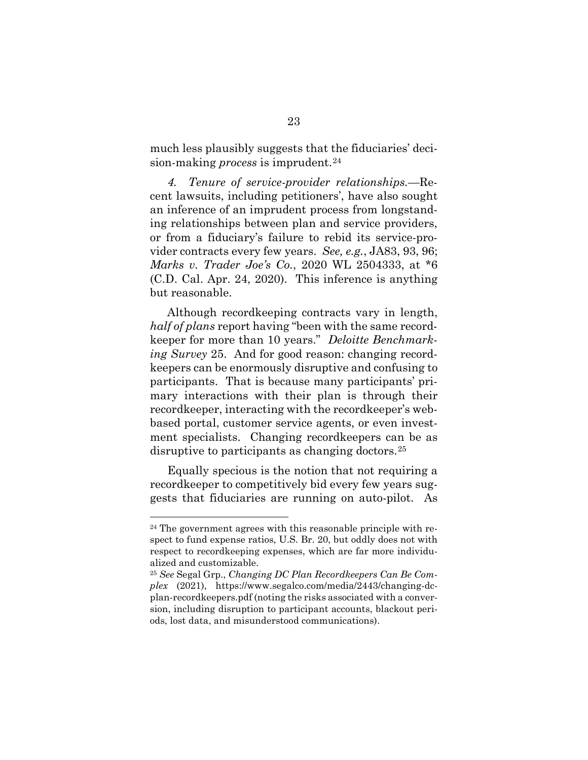much less plausibly suggests that the fiduciaries' decision-making *process* is imprudent.<sup>[24](#page-35-3)</sup>

*4. Tenure of service-provider relationships.—*Recent lawsuits, including petitioners', have also sought an inference of an imprudent process from longstanding relationships between plan and service providers, or from a fiduciary's failure to rebid its service-provider contracts every few years. *See, e.g.*, JA83, 93, 96; *Marks v. Trader Joe's Co.*, 2020 WL 2504333, at \*6 (C.D. Cal. Apr. 24, 2020). This inference is anything but reasonable.

<span id="page-35-1"></span><span id="page-35-0"></span>Although recordkeeping contracts vary in length, *half of plans* report having "been with the same recordkeeper for more than 10 years." *Deloitte Benchmarking Survey* 25. And for good reason: changing recordkeepers can be enormously disruptive and confusing to participants. That is because many participants' primary interactions with their plan is through their recordkeeper, interacting with the recordkeeper's webbased portal, customer service agents, or even investment specialists. Changing recordkeepers can be as disruptive to participants as changing doctors.[25](#page-35-4)

Equally specious is the notion that not requiring a recordkeeper to competitively bid every few years suggests that fiduciaries are running on auto-pilot. As

<span id="page-35-3"></span><sup>24</sup> The government agrees with this reasonable principle with respect to fund expense ratios, U.S. Br. 20, but oddly does not with respect to recordkeeping expenses, which are far more individualized and customizable.

<span id="page-35-4"></span><span id="page-35-2"></span><sup>25</sup> *See* Segal Grp., *Changing DC Plan Recordkeepers Can Be Complex* (2021), https://www.segalco.com/media/2443/changing-dcplan-recordkeepers.pdf (noting the risks associated with a conversion, including disruption to participant accounts, blackout periods, lost data, and misunderstood communications).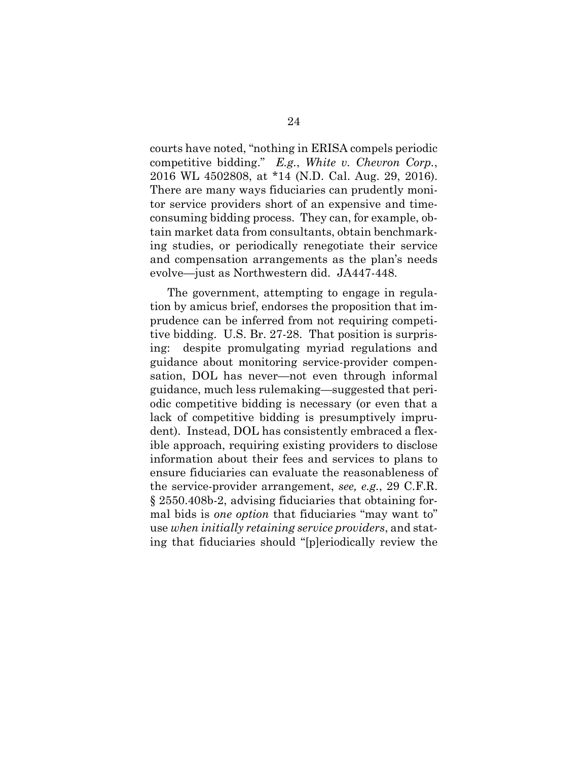<span id="page-36-0"></span>courts have noted, "nothing in ERISA compels periodic competitive bidding." *E.g.*, *White v. Chevron Corp.*, 2016 WL 4502808, at \*14 (N.D. Cal. Aug. 29, 2016). There are many ways fiduciaries can prudently monitor service providers short of an expensive and timeconsuming bidding process. They can, for example, obtain market data from consultants, obtain benchmarking studies, or periodically renegotiate their service and compensation arrangements as the plan's needs evolve—just as Northwestern did. JA447-448.

<span id="page-36-1"></span>The government, attempting to engage in regulation by amicus brief, endorses the proposition that imprudence can be inferred from not requiring competitive bidding. U.S. Br. 27-28. That position is surprising: despite promulgating myriad regulations and guidance about monitoring service-provider compensation, DOL has never—not even through informal guidance, much less rulemaking—suggested that periodic competitive bidding is necessary (or even that a lack of competitive bidding is presumptively imprudent). Instead, DOL has consistently embraced a flexible approach, requiring existing providers to disclose information about their fees and services to plans to ensure fiduciaries can evaluate the reasonableness of the service-provider arrangement, *see, e.g.*, 29 C.F.R. § 2550.408b-2, advising fiduciaries that obtaining formal bids is *one option* that fiduciaries "may want to" use *when initially retaining service providers*, and stating that fiduciaries should "[p]eriodically review the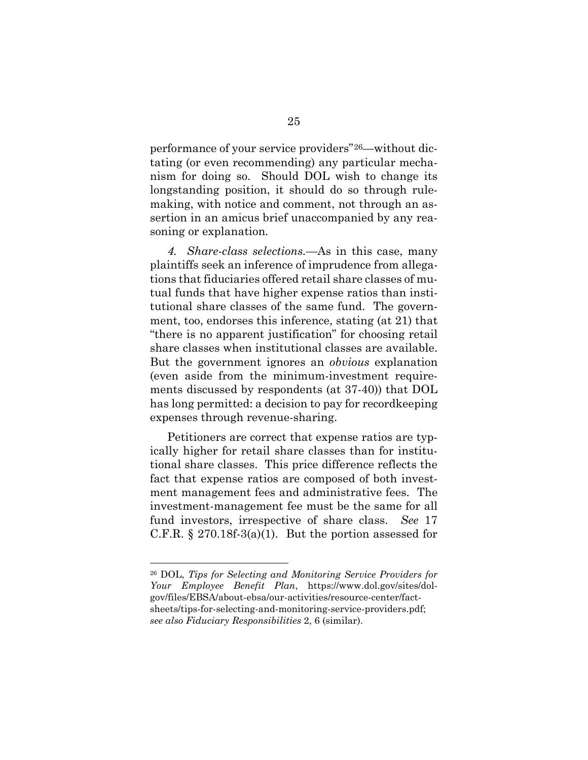performance of your service providers"[26—](#page-37-3)without dictating (or even recommending) any particular mechanism for doing so. Should DOL wish to change its longstanding position, it should do so through rulemaking, with notice and comment, not through an assertion in an amicus brief unaccompanied by any reasoning or explanation.

*4. Share-class selections.—*As in this case, many plaintiffs seek an inference of imprudence from allegations that fiduciaries offered retail share classes of mutual funds that have higher expense ratios than institutional share classes of the same fund. The government, too, endorses this inference, stating (at 21) that "there is no apparent justification" for choosing retail share classes when institutional classes are available. But the government ignores an *obvious* explanation (even aside from the minimum-investment requirements discussed by respondents (at 37-40)) that DOL has long permitted: a decision to pay for recordkeeping expenses through revenue-sharing.

Petitioners are correct that expense ratios are typically higher for retail share classes than for institutional share classes. This price difference reflects the fact that expense ratios are composed of both investment management fees and administrative fees. The investment-management fee must be the same for all fund investors, irrespective of share class. *See* 17 C.F.R.  $\S 270.18f-3(a)(1)$ . But the portion assessed for

<span id="page-37-3"></span><span id="page-37-2"></span><span id="page-37-1"></span><span id="page-37-0"></span><sup>26</sup> DOL, *Tips for Selecting and Monitoring Service Providers for Your Employee Benefit Plan*, https://www.dol.gov/sites/dolgov/files/EBSA/about-ebsa/our-activities/resource-center/factsheets/tips-for-selecting-and-monitoring-service-providers.pdf; *see also Fiduciary Responsibilities* 2, 6 (similar).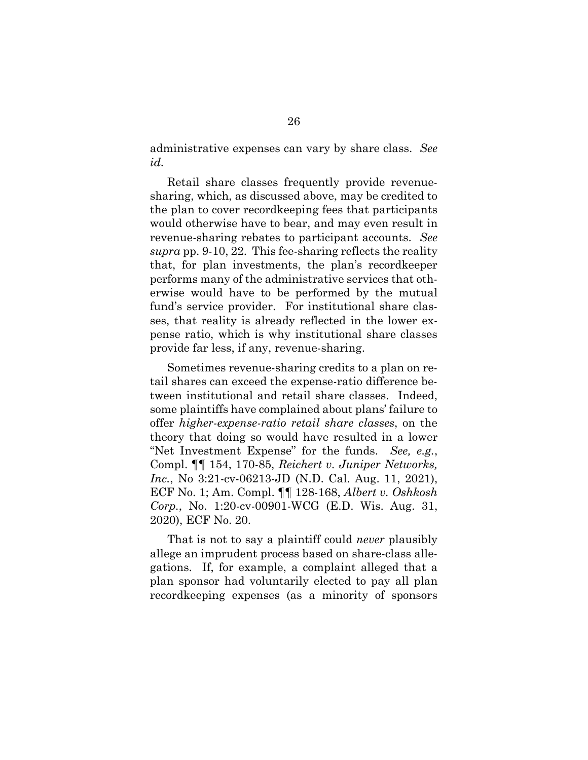<span id="page-38-0"></span>administrative expenses can vary by share class. *See id.*

Retail share classes frequently provide revenuesharing, which, as discussed above, may be credited to the plan to cover recordkeeping fees that participants would otherwise have to bear, and may even result in revenue-sharing rebates to participant accounts. *See supra* pp. 9-10, 22. This fee-sharing reflects the reality that, for plan investments, the plan's recordkeeper performs many of the administrative services that otherwise would have to be performed by the mutual fund's service provider. For institutional share classes, that reality is already reflected in the lower expense ratio, which is why institutional share classes provide far less, if any, revenue-sharing.

Sometimes revenue-sharing credits to a plan on retail shares can exceed the expense-ratio difference between institutional and retail share classes. Indeed, some plaintiffs have complained about plans' failure to offer *higher-expense-ratio retail share classes*, on the theory that doing so would have resulted in a lower "Net Investment Expense" for the funds. *See, e.g.*, Compl. ¶¶ 154, 170-85, *Reichert v. Juniper Networks, Inc.*, No 3:21-cv-06213-JD (N.D. Cal. Aug. 11, 2021), ECF No. 1; Am. Compl. ¶¶ 128-168, *Albert v. Oshkosh Corp.*, No. 1:20-cv-00901-WCG (E.D. Wis. Aug. 31, 2020), ECF No. 20.

That is not to say a plaintiff could *never* plausibly allege an imprudent process based on share-class allegations. If, for example, a complaint alleged that a plan sponsor had voluntarily elected to pay all plan recordkeeping expenses (as a minority of sponsors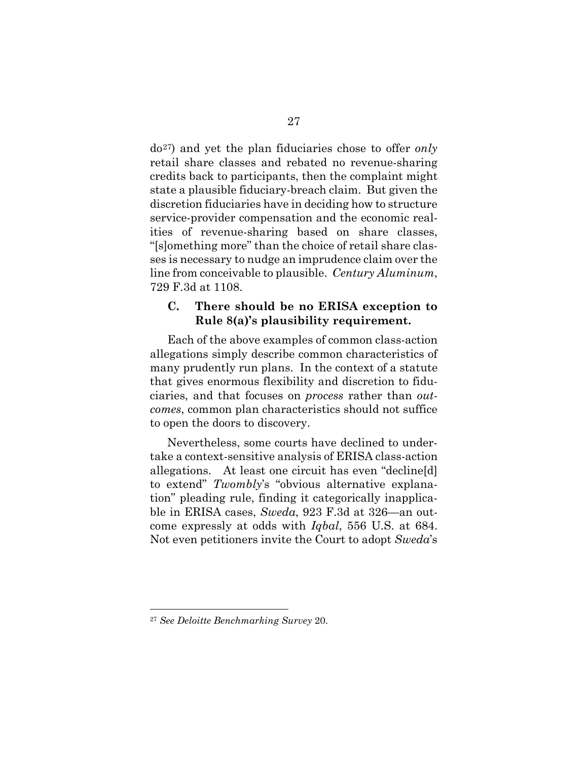do[27\)](#page-39-5) and yet the plan fiduciaries chose to offer *only* retail share classes and rebated no revenue-sharing credits back to participants, then the complaint might state a plausible fiduciary-breach claim. But given the discretion fiduciaries have in deciding how to structure service-provider compensation and the economic realities of revenue-sharing based on share classes, "[s]omething more" than the choice of retail share classes is necessary to nudge an imprudence claim over the line from conceivable to plausible. *Century Aluminum*, 729 F.3d at 1108.

#### <span id="page-39-4"></span><span id="page-39-2"></span><span id="page-39-0"></span>**C. There should be no ERISA exception to Rule 8(a)'s plausibility requirement.**

Each of the above examples of common class-action allegations simply describe common characteristics of many prudently run plans. In the context of a statute that gives enormous flexibility and discretion to fiduciaries, and that focuses on *process* rather than *outcomes*, common plan characteristics should not suffice to open the doors to discovery.

<span id="page-39-3"></span><span id="page-39-1"></span>Nevertheless, some courts have declined to undertake a context-sensitive analysis of ERISA class-action allegations. At least one circuit has even "decline[d] to extend" *Twombly*'s "obvious alternative explanation" pleading rule, finding it categorically inapplicable in ERISA cases, *Sweda*, 923 F.3d at 326—an outcome expressly at odds with *Iqbal*, 556 U.S. at 684. Not even petitioners invite the Court to adopt *Sweda*'s

<span id="page-39-5"></span><sup>27</sup> *See Deloitte Benchmarking Survey* 20.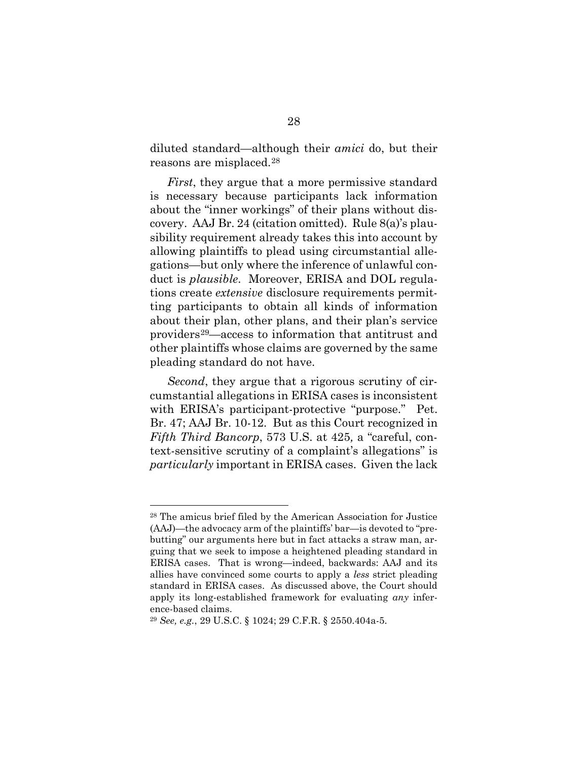diluted standard—although their *amici* do, but their reasons are misplaced.[28](#page-40-4)

<span id="page-40-3"></span>*First*, they argue that a more permissive standard is necessary because participants lack information about the "inner workings" of their plans without discovery. AAJ Br. 24 (citation omitted). Rule 8(a)'s plausibility requirement already takes this into account by allowing plaintiffs to plead using circumstantial allegations—but only where the inference of unlawful conduct is *plausible*. Moreover, ERISA and DOL regulations create *extensive* disclosure requirements permitting participants to obtain all kinds of information about their plan, other plans, and their plan's service providers[29—](#page-40-5)access to information that antitrust and other plaintiffs whose claims are governed by the same pleading standard do not have.

<span id="page-40-0"></span>*Second*, they argue that a rigorous scrutiny of circumstantial allegations in ERISA cases is inconsistent with ERISA's participant-protective "purpose." Pet. Br. 47; AAJ Br. 10-12. But as this Court recognized in *Fifth Third Bancorp*, 573 U.S. at 425*,* a "careful, context-sensitive scrutiny of a complaint's allegations" is *particularly* important in ERISA cases. Given the lack

<span id="page-40-4"></span><sup>28</sup> The amicus brief filed by the American Association for Justice (AAJ)—the advocacy arm of the plaintiffs' bar—is devoted to "prebutting" our arguments here but in fact attacks a straw man, arguing that we seek to impose a heightened pleading standard in ERISA cases. That is wrong—indeed, backwards: AAJ and its allies have convinced some courts to apply a *less* strict pleading standard in ERISA cases. As discussed above, the Court should apply its long-established framework for evaluating *any* inference-based claims.

<span id="page-40-5"></span><span id="page-40-2"></span><span id="page-40-1"></span><sup>29</sup> *See, e.g.*, 29 U.S.C. § 1024; 29 C.F.R. § 2550.404a-5.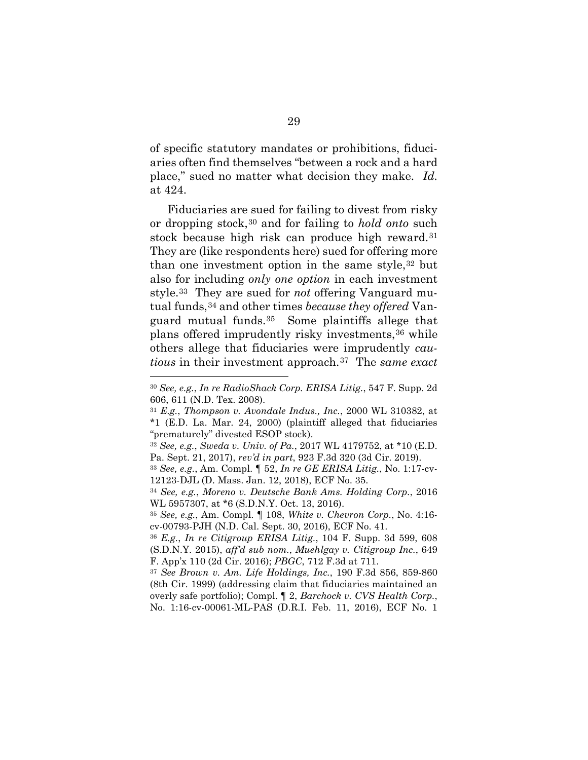<span id="page-41-2"></span>of specific statutory mandates or prohibitions, fiduciaries often find themselves "between a rock and a hard place," sued no matter what decision they make. *Id.* at 424.

Fiduciaries are sued for failing to divest from risky or dropping stock,[30](#page-41-8) and for failing to *hold onto* such stock because high risk can produce high reward.[31](#page-41-9)  They are (like respondents here) sued for offering more than one investment option in the same style,[32](#page-41-10) but also for including *only one option* in each investment style[.33](#page-41-11) They are sued for *not* offering Vanguard mutual funds,[34](#page-41-12) and other times *because they offered* Vanguard mutual funds.[35](#page-41-13) Some plaintiffs allege that plans offered imprudently risky investments,[36](#page-41-14) while others allege that fiduciaries were imprudently *cautious* in their investment approach.[37](#page-41-15) The *same exact* 

<span id="page-41-8"></span><span id="page-41-4"></span><sup>30</sup> *See, e.g.*, *In re RadioShack Corp. ERISA Litig.*, 547 F. Supp. 2d 606, 611 (N.D. Tex. 2008).

<span id="page-41-9"></span><span id="page-41-7"></span><sup>31</sup> *E.g.*, *Thompson v. Avondale Indus., Inc.*, 2000 WL 310382, at \*1 (E.D. La. Mar. 24, 2000) (plaintiff alleged that fiduciaries "prematurely" divested ESOP stock).

<span id="page-41-10"></span><span id="page-41-6"></span><sup>32</sup> *See, e.g.*, *Sweda v. Univ. of Pa.*, 2017 WL 4179752, at \*10 (E.D. Pa. Sept. 21, 2017), *rev'd in part*, 923 F.3d 320 (3d Cir. 2019).

<span id="page-41-11"></span><sup>33</sup> *See, e.g.*, Am. Compl. ¶ 52, *In re GE ERISA Litig.*, No. 1:17-cv-12123-DJL (D. Mass. Jan. 12, 2018), ECF No. 35.

<span id="page-41-12"></span><span id="page-41-3"></span><sup>34</sup> *See, e.g.*, *Moreno v. Deutsche Bank Ams. Holding Corp.*, 2016 WL 5957307, at \*6 (S.D.N.Y. Oct. 13, 2016).

<span id="page-41-13"></span><sup>35</sup> *See, e.g.*, Am. Compl. ¶ 108, *White v. Chevron Corp.*, No. 4:16 cv-00793-PJH (N.D. Cal. Sept. 30, 2016), ECF No. 41.

<span id="page-41-14"></span><span id="page-41-1"></span><sup>36</sup> *E.g.*, *In re Citigroup ERISA Litig.*, 104 F. Supp. 3d 599, 608 (S.D.N.Y. 2015), *aff'd sub nom.*, *Muehlgay v. Citigroup Inc.*, 649 F. App'x 110 (2d Cir. 2016); *PBGC*, 712 F.3d at 711.

<span id="page-41-15"></span><span id="page-41-5"></span><span id="page-41-0"></span><sup>37</sup> *See Brown v. Am. Life Holdings, Inc.*, 190 F.3d 856, 859-860 (8th Cir. 1999) (addressing claim that fiduciaries maintained an overly safe portfolio); Compl. ¶ 2, *Barchock v. CVS Health Corp.*, No. 1:16-cv-00061-ML-PAS (D.R.I. Feb. 11, 2016), ECF No. 1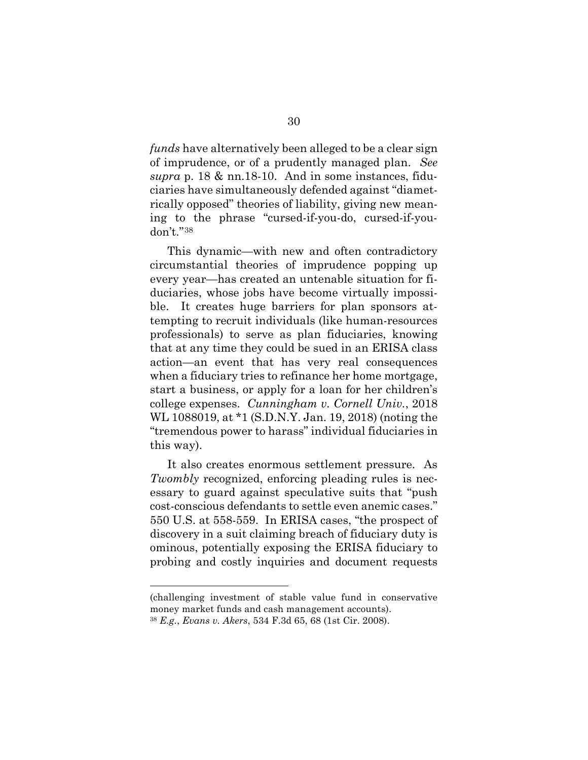*funds* have alternatively been alleged to be a clear sign of imprudence, or of a prudently managed plan. *See supra* p. 18 & nn.18-10. And in some instances, fiduciaries have simultaneously defended against "diametrically opposed" theories of liability, giving new meaning to the phrase "cursed-if-you-do, cursed-if-youdon't."[38](#page-42-3)

This dynamic—with new and often contradictory circumstantial theories of imprudence popping up every year—has created an untenable situation for fiduciaries, whose jobs have become virtually impossible. It creates huge barriers for plan sponsors attempting to recruit individuals (like human-resources professionals) to serve as plan fiduciaries, knowing that at any time they could be sued in an ERISA class action—an event that has very real consequences when a fiduciary tries to refinance her home mortgage, start a business, or apply for a loan for her children's college expenses. *Cunningham v. Cornell Univ.*, 2018 WL 1088019, at \*1 (S.D.N.Y. Jan. 19, 2018) (noting the "tremendous power to harass" individual fiduciaries in this way).

<span id="page-42-1"></span><span id="page-42-0"></span>It also creates enormous settlement pressure. As *Twombly* recognized, enforcing pleading rules is necessary to guard against speculative suits that "push cost-conscious defendants to settle even anemic cases." 550 U.S. at 558-559. In ERISA cases, "the prospect of discovery in a suit claiming breach of fiduciary duty is ominous, potentially exposing the ERISA fiduciary to probing and costly inquiries and document requests

(challenging investment of stable value fund in conservative money market funds and cash management accounts).

<span id="page-42-3"></span><span id="page-42-2"></span><sup>38</sup> *E.g.*, *Evans v. Akers*, 534 F.3d 65, 68 (1st Cir. 2008).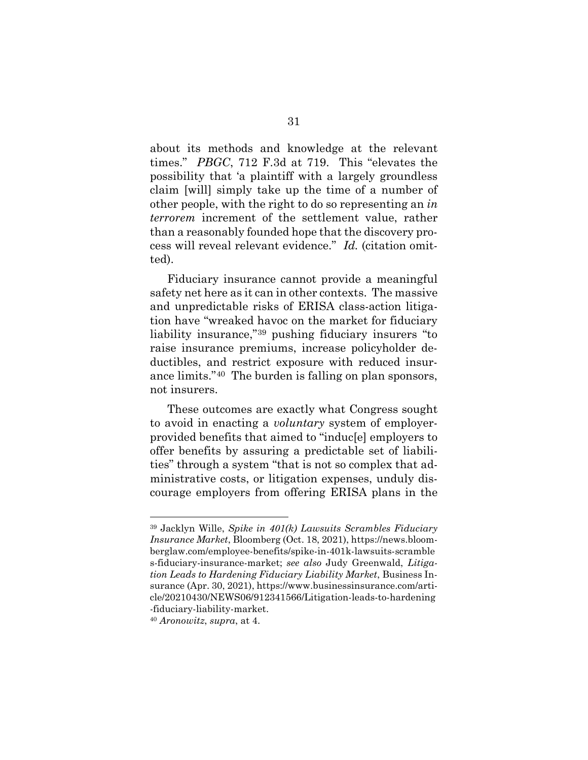<span id="page-43-0"></span>about its methods and knowledge at the relevant times." *PBGC*, 712 F.3d at 719. This "elevates the possibility that 'a plaintiff with a largely groundless claim [will] simply take up the time of a number of other people, with the right to do so representing an *in terrorem* increment of the settlement value, rather than a reasonably founded hope that the discovery process will reveal relevant evidence." *Id.* (citation omitted).

Fiduciary insurance cannot provide a meaningful safety net here as it can in other contexts. The massive and unpredictable risks of ERISA class-action litigation have "wreaked havoc on the market for fiduciary liability insurance,"[39](#page-43-4) pushing fiduciary insurers "to raise insurance premiums, increase policyholder deductibles, and restrict exposure with reduced insurance limits."[40](#page-43-5) The burden is falling on plan sponsors, not insurers.

These outcomes are exactly what Congress sought to avoid in enacting a *voluntary* system of employerprovided benefits that aimed to "induc[e] employers to offer benefits by assuring a predictable set of liabilities" through a system "that is not so complex that administrative costs, or litigation expenses, unduly discourage employers from offering ERISA plans in the

<span id="page-43-4"></span><span id="page-43-3"></span><span id="page-43-2"></span><sup>39</sup> Jacklyn Wille, *Spike in 401(k) Lawsuits Scrambles Fiduciary Insurance Market*, Bloomberg (Oct. 18, 2021), https://news.bloomberglaw.com/employee-benefits/spike-in-401k-lawsuits-scramble s-fiduciary-insurance-market; *see also* Judy Greenwald, *Litigation Leads to Hardening Fiduciary Liability Market*, Business Insurance (Apr. 30, 2021), https://www.businessinsurance.com/article/20210430/NEWS06/912341566/Litigation-leads-to-hardening -fiduciary-liability-market.

<span id="page-43-5"></span><span id="page-43-1"></span><sup>40</sup> *Aronowitz*, *supra*, at 4.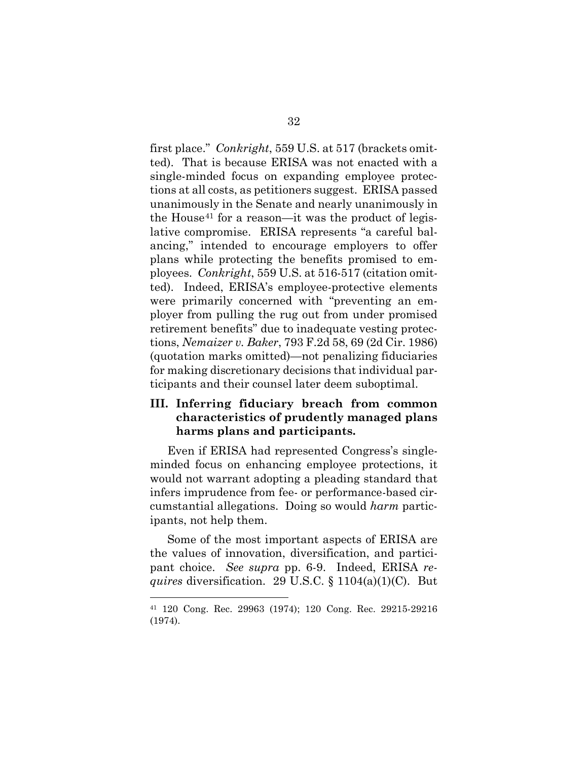<span id="page-44-1"></span>first place." *Conkright*, 559 U.S. at 517 (brackets omitted). That is because ERISA was not enacted with a single-minded focus on expanding employee protections at all costs, as petitioners suggest. ERISA passed unanimously in the Senate and nearly unanimously in the House<sup>[41](#page-44-6)</sup> for a reason—it was the product of legislative compromise. ERISA represents "a careful balancing," intended to encourage employers to offer plans while protecting the benefits promised to employees. *Conkright*, 559 U.S. at 516-517 (citation omitted). Indeed, ERISA's employee-protective elements were primarily concerned with "preventing an employer from pulling the rug out from under promised retirement benefits" due to inadequate vesting protections, *Nemaizer v. Baker*, 793 F.2d 58, 69 (2d Cir. 1986) (quotation marks omitted)—not penalizing fiduciaries for making discretionary decisions that individual participants and their counsel later deem suboptimal.

## <span id="page-44-2"></span><span id="page-44-0"></span>**III. Inferring fiduciary breach from common characteristics of prudently managed plans harms plans and participants.**

Even if ERISA had represented Congress's singleminded focus on enhancing employee protections, it would not warrant adopting a pleading standard that infers imprudence from fee- or performance-based circumstantial allegations. Doing so would *harm* participants, not help them.

Some of the most important aspects of ERISA are the values of innovation, diversification, and participant choice. *See supra* pp. 6-9. Indeed, ERISA *requires* diversification. 29 U.S.C. § 1104(a)(1)(C). But

<span id="page-44-6"></span><span id="page-44-5"></span><span id="page-44-4"></span><span id="page-44-3"></span><sup>41</sup> 120 Cong. Rec. 29963 (1974); 120 Cong. Rec. 29215-29216 (1974).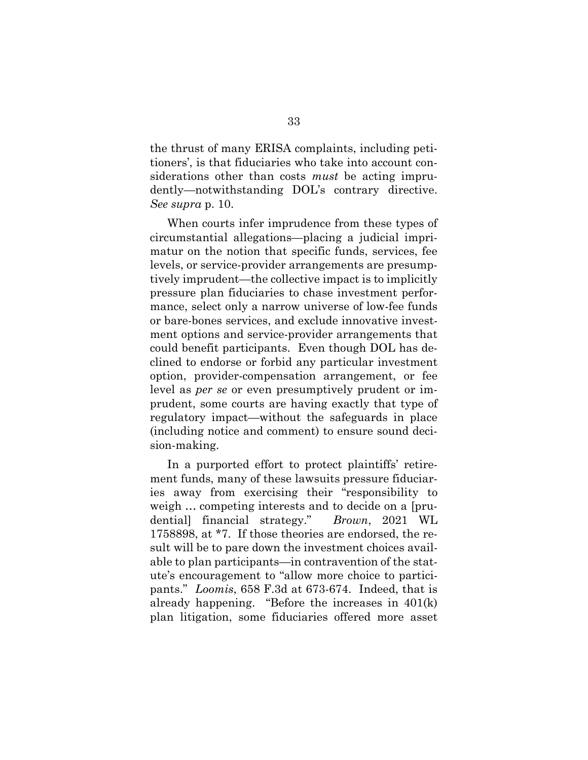the thrust of many ERISA complaints, including petitioners', is that fiduciaries who take into account considerations other than costs *must* be acting imprudently—notwithstanding DOL's contrary directive. *See supra* p. 10.

When courts infer imprudence from these types of circumstantial allegations—placing a judicial imprimatur on the notion that specific funds, services, fee levels, or service-provider arrangements are presumptively imprudent—the collective impact is to implicitly pressure plan fiduciaries to chase investment performance, select only a narrow universe of low-fee funds or bare-bones services, and exclude innovative investment options and service-provider arrangements that could benefit participants. Even though DOL has declined to endorse or forbid any particular investment option, provider-compensation arrangement, or fee level as *per se* or even presumptively prudent or imprudent, some courts are having exactly that type of regulatory impact—without the safeguards in place (including notice and comment) to ensure sound decision-making.

<span id="page-45-1"></span><span id="page-45-0"></span>In a purported effort to protect plaintiffs' retirement funds, many of these lawsuits pressure fiduciaries away from exercising their "responsibility to weigh … competing interests and to decide on a [prudential] financial strategy." *Brown*, 2021 WL 1758898, at \*7. If those theories are endorsed, the result will be to pare down the investment choices available to plan participants—in contravention of the statute's encouragement to "allow more choice to participants." *Loomis*, 658 F.3d at 673-674. Indeed, that is already happening. "Before the increases in 401(k) plan litigation, some fiduciaries offered more asset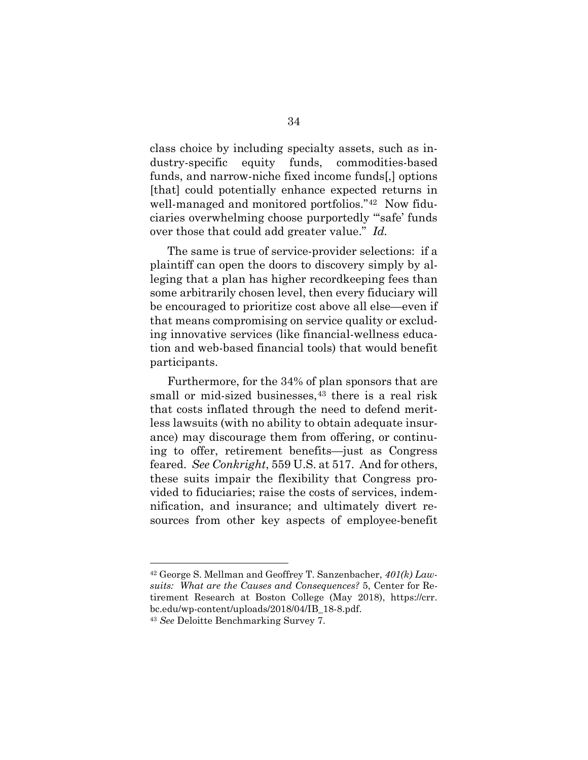class choice by including specialty assets, such as industry-specific equity funds, commodities-based funds, and narrow-niche fixed income funds[,] options [that] could potentially enhance expected returns in well-managed and monitored portfolios."[42](#page-46-3) Now fiduciaries overwhelming choose purportedly "'safe' funds over those that could add greater value." *Id.*

The same is true of service-provider selections: if a plaintiff can open the doors to discovery simply by alleging that a plan has higher recordkeeping fees than some arbitrarily chosen level, then every fiduciary will be encouraged to prioritize cost above all else—even if that means compromising on service quality or excluding innovative services (like financial-wellness education and web-based financial tools) that would benefit participants.

<span id="page-46-0"></span>Furthermore, for the 34% of plan sponsors that are small or mid-sized businesses,<sup>[43](#page-46-4)</sup> there is a real risk that costs inflated through the need to defend meritless lawsuits (with no ability to obtain adequate insurance) may discourage them from offering, or continuing to offer, retirement benefits—just as Congress feared. *See Conkright*, 559 U.S. at 517. And for others, these suits impair the flexibility that Congress provided to fiduciaries; raise the costs of services, indemnification, and insurance; and ultimately divert resources from other key aspects of employee-benefit

<span id="page-46-3"></span><span id="page-46-2"></span><sup>42</sup> George S. Mellman and Geoffrey T. Sanzenbacher, *401(k) Lawsuits: What are the Causes and Consequences?* 5, Center for Retirement Research at Boston College (May 2018), https://crr. bc.edu/wp-content/uploads/2018/04/IB\_18-8.pdf.

<span id="page-46-4"></span><span id="page-46-1"></span><sup>43</sup> *See* Deloitte Benchmarking Survey 7.